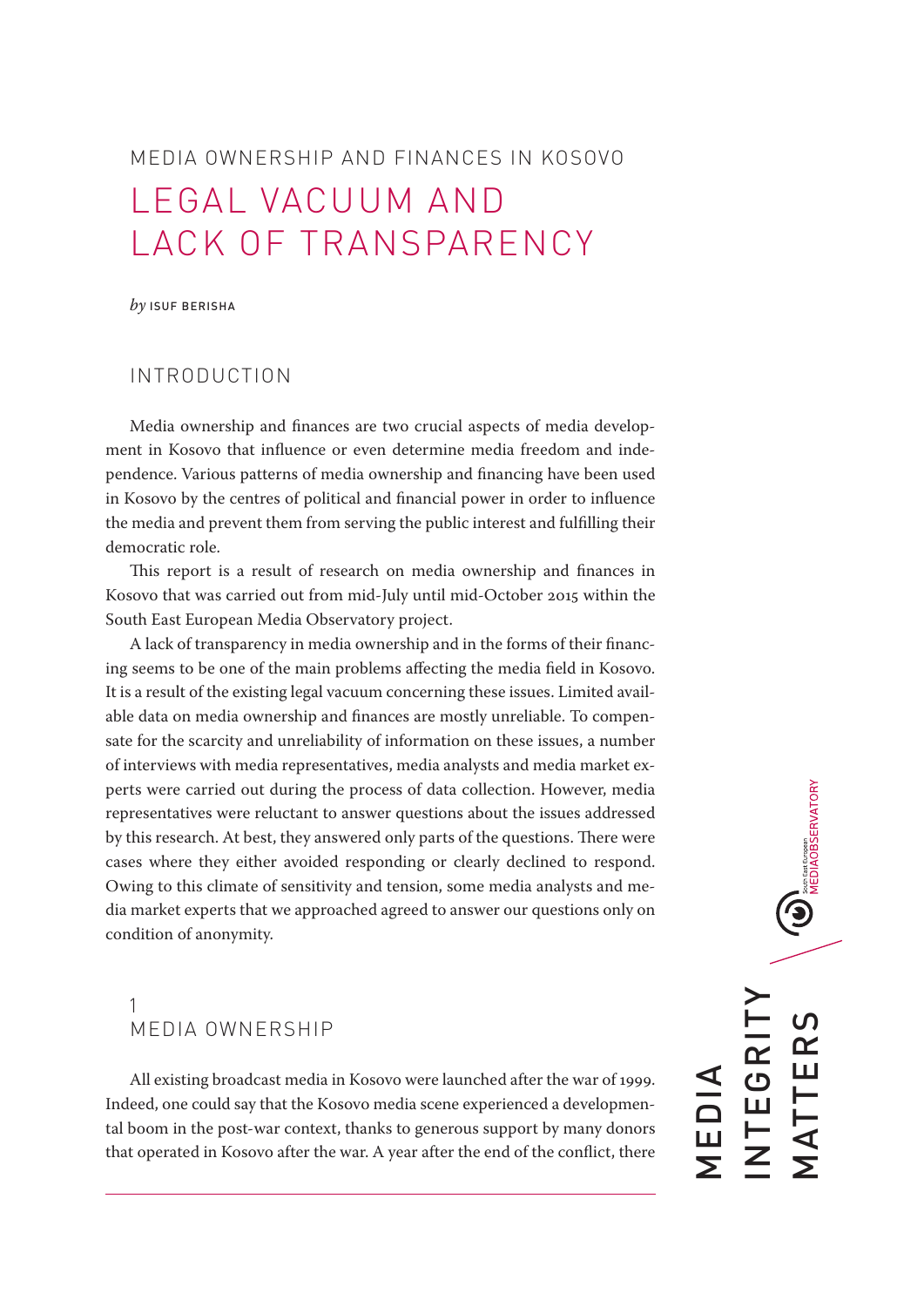# MEDIA OWNERSHIP AND FINANCES IN KOSOVO LEGAL VACUUM AND LACK OF TRANSPARENCY

*by* ISUF BERISHA

# INTRODUCTION

Media ownership and finances are two crucial aspects of media development in Kosovo that influence or even determine media freedom and independence. Various patterns of media ownership and financing have been used in Kosovo by the centres of political and financial power in order to influence the media and prevent them from serving the public interest and fulfilling their democratic role.

This report is a result of research on media ownership and finances in Kosovo that was carried out from mid-July until mid-October 2015 within the South East European Media Observatory project.

A lack of transparency in media ownership and in the forms of their financing seems to be one of the main problems affecting the media field in Kosovo. It is a result of the existing legal vacuum concerning these issues. Limited available data on media ownership and finances are mostly unreliable. To compensate for the scarcity and unreliability of information on these issues, a number of interviews with media representatives, media analysts and media market experts were carried out during the process of data collection. However, media representatives were reluctant to answer questions about the issues addressed by this research. At best, they answered only parts of the questions. There were cases where they either avoided responding or clearly declined to respond. Owing to this climate of sensitivity and tension, some media analysts and media market experts that we approached agreed to answer our questions only on condition of anonymity.

# 1 MEDIA OWNERSHIP

All existing broadcast media in Kosovo were launched after the war of 1999. Indeed, one could say that the Kosovo media scene experienced a developmental boom in the post-war context, thanks to generous support by many donors that operated in Kosovo after the war. A year after the end of the conflict, there

 $\bigodot_{\text{son-6est through} \atop \text{MEDIAOBSERVATION}}$ INTEGRITY **MATTERS** MATTERS NTEGRI MEDIA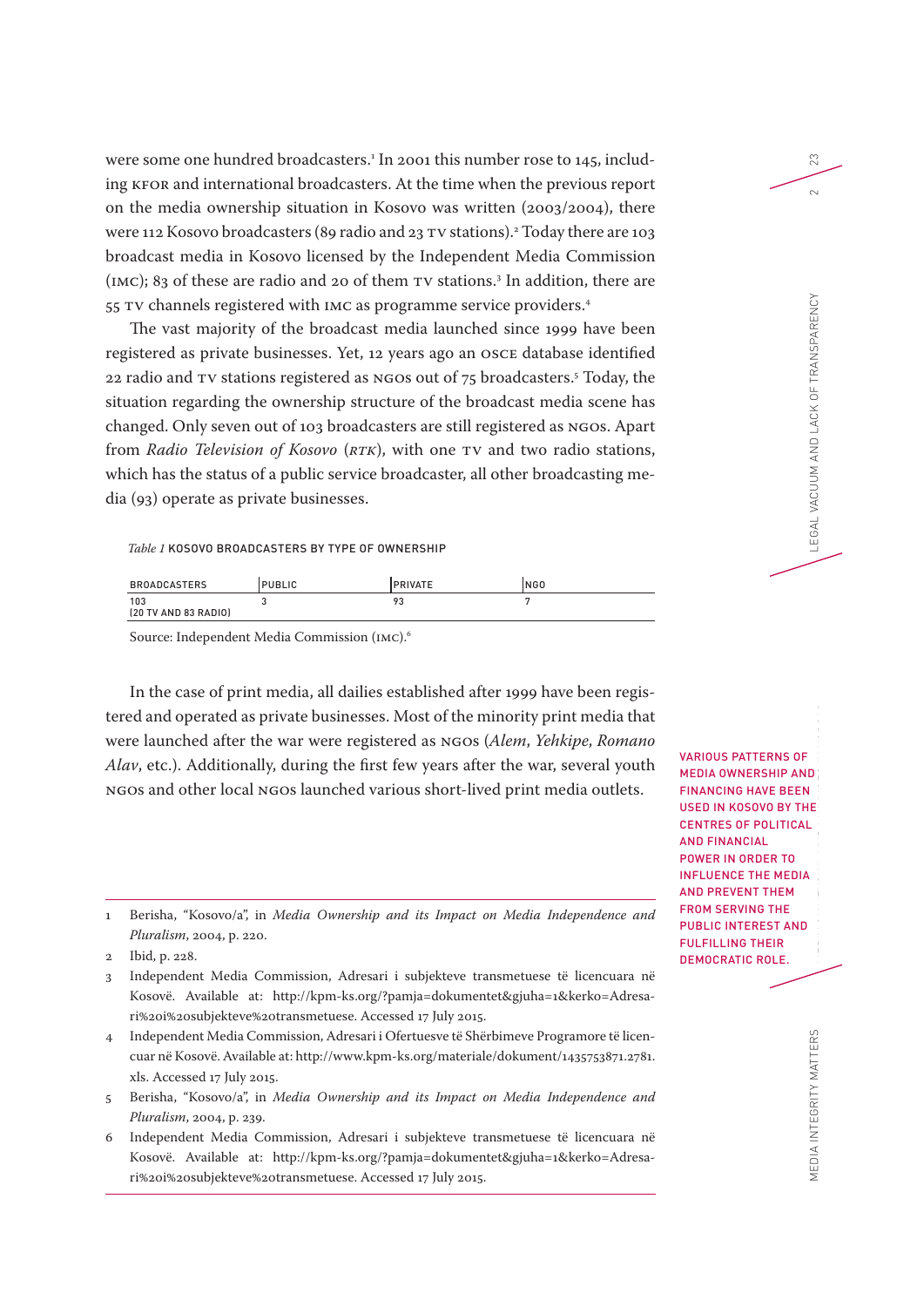were some one hundred broadcasters. 1 In 2001 this number rose to 145, including KFOR and international broadcasters. At the time when the previous report on the media ownership situation in Kosovo was written (2003/2004), there were 112 Kosovo broadcasters (89 radio and 23 TV stations).2 Today there are 103 broadcast media in Kosovo licensed by the Independent Media Commission (IMC); 83 of these are radio and 20 of them TV stations.3 In addition, there are 55 TV channels registered with IMC as programme service providers.4

The vast majority of the broadcast media launched since 1999 have been registered as private businesses. Yet, 12 years ago an OSCE database identified 22 radio and TV stations registered as NGOs out of 75 broadcasters.5 Today, the situation regarding the ownership structure of the broadcast media scene has changed. Only seven out of 103 broadcasters are still registered as NGOs. Apart from *Radio Television of Kosovo* (*RTK*), with one TV and two radio stations, which has the status of a public service broadcaster, all other broadcasting media (93) operate as private businesses.

#### *Table 1* KOSOVO BROADCASTERS BY TYPE OF OWNERSHIP

| <b>BROADCASTERS</b>         | <b>PUBLIC</b> | <b>PRIVATE</b>                 | INGO |
|-----------------------------|---------------|--------------------------------|------|
| 103<br>(20 TV AND 83 RADIO) |               | o.<br>$\overline{\phantom{a}}$ |      |

Source: Independent Media Commission (IMC).6

In the case of print media, all dailies established after 1999 have been registered and operated as private businesses. Most of the minority print media that were launched after the war were registered as NGOs (*Alem*, *Yehkipe*, *Romano Alav*, etc.). Additionally, during the first few years after the war, several youth NGOs and other local NGOs launched various short-lived print media outlets.

- 3 Independent Media Commission, Adresari i subjekteve transmetuese të licencuara në Kosovë. Available at: http://kpm-ks.org/?pamja=dokumentet&gjuha=1&kerko=Adresari%20i%20subjekteve%20transmetuese. Accessed 17 July 2015.
- 4 Independent Media Commission, Adresari i Ofertuesve të Shërbimeve Programore të licencuar në Kosovë. Available at: http://www.kpm-ks.org/materiale/dokument/1435753871.2781. xls. Accessed 17 July 2015.
- 5 Berisha, "Kosovo/a", in *Media Ownership and its Impact on Media Independence and Pluralism*, 2004, p. 239.
- 6 Independent Media Commission, Adresari i subjekteve transmetuese të licencuara në Kosovë. Available at: http://kpm-ks.org/?pamja=dokumentet&gjuha=1&kerko=Adresari%20i%20subjekteve%20transmetuese. Accessed 17 July 2015.

MEDIA INTEGRITY MATTERS MEDIA INTEGRITY MATTERS MEDIA OWNERSHIP AND LACK OF TRANSPARENCY 20 PHONERSHIP AND LACK OF TRANSPARENCY 20 PHONERS VARIOUS PATTERNS OF MEDIA OWNERSHIP AND FINANCING HAVE BEEN USED IN KOSOVO BY THE CENTRES OF POLITICAL AND FINANCIAL POWER IN ORDER TO INFLUENCE THE MEDIA AND PREVENT THEM FROM SERVING THE PUBLIC INTEREST AND FULFILLING THEIR DEMOCRATIC ROLE.

23

 $\sim$ 

LEGAL VACUUM AND LACK OF TRANSPARENCY

<sup>1</sup> Berisha, "Kosovo/a", in *Media Ownership and its Impact on Media Independence and Pluralism*, 2004, p. 220.

<sup>2</sup> Ibid, p. 228.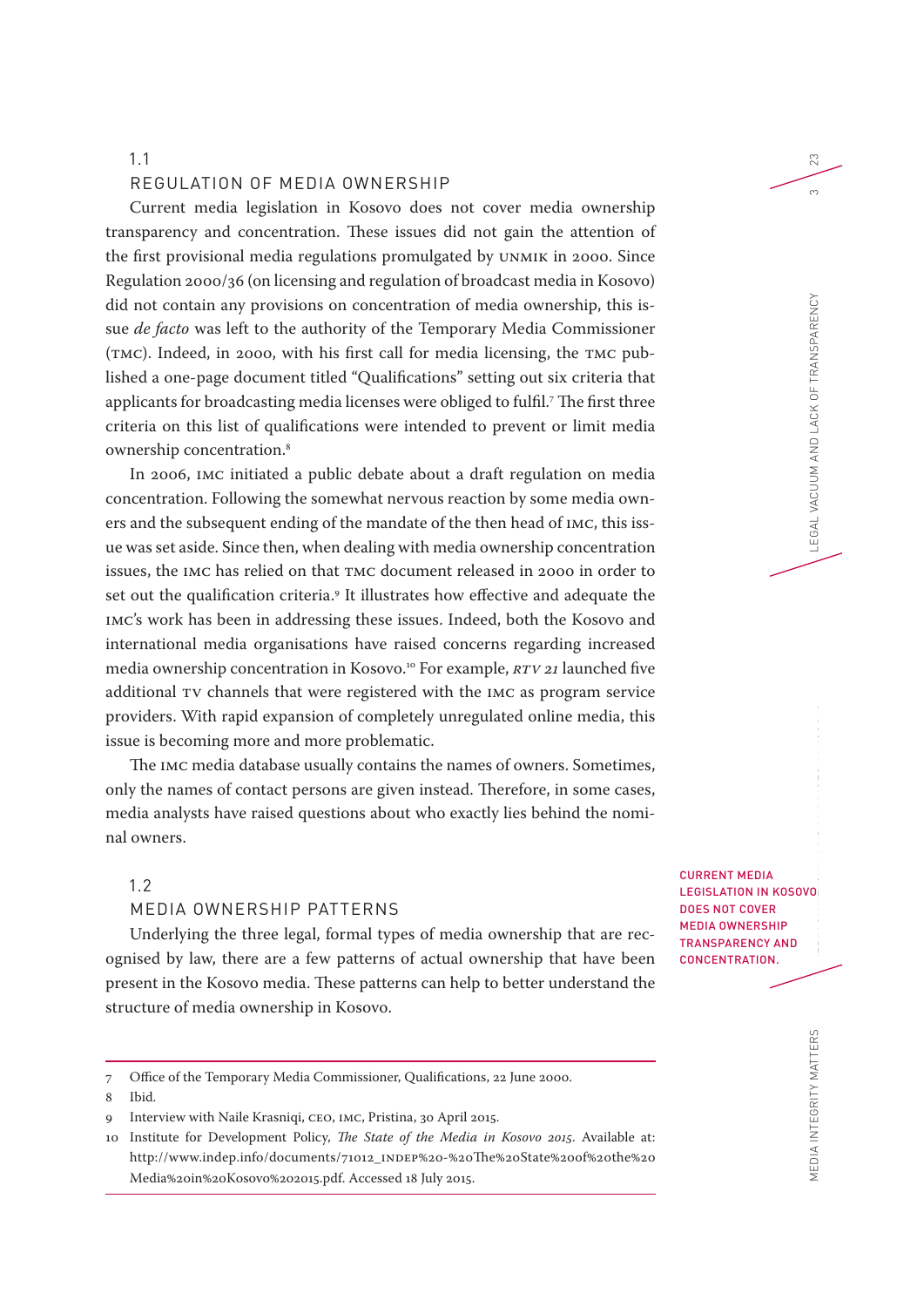#### REGULATION OF MEDIA OWNERSHIP

Current media legislation in Kosovo does not cover media ownership transparency and concentration. These issues did not gain the attention of the first provisional media regulations promulgated by UNMIK in 2000. Since Regulation 2000/36 (on licensing and regulation of broadcast media in Kosovo) did not contain any provisions on concentration of media ownership, this issue *de facto* was left to the authority of the Temporary Media Commissioner (TMC). Indeed, in 2000, with his first call for media licensing, the TMC published a one-page document titled "Qualifications" setting out six criteria that applicants for broadcasting media licenses were obliged to fulfil.7 The first three criteria on this list of qualifications were intended to prevent or limit media ownership concentration.8

In 2006, IMC initiated a public debate about a draft regulation on media concentration. Following the somewhat nervous reaction by some media owners and the subsequent ending of the mandate of the then head of IMC, this issue was set aside. Since then, when dealing with media ownership concentration issues, the IMC has relied on that TMC document released in 2000 in order to set out the qualification criteria.9 It illustrates how effective and adequate the IMC's work has been in addressing these issues. Indeed, both the Kosovo and international media organisations have raised concerns regarding increased media ownership concentration in Kosovo.10 For example, *RTV 21* launched five additional TV channels that were registered with the IMC as program service providers. With rapid expansion of completely unregulated online media, this issue is becoming more and more problematic.

The IMC media database usually contains the names of owners. Sometimes, only the names of contact persons are given instead. Therefore, in some cases, media analysts have raised questions about who exactly lies behind the nominal owners.

## 1.2

# MEDIA OWNERSHIP PATTERNS

Underlying the three legal, formal types of media ownership that are recognised by law, there are a few patterns of actual ownership that have been present in the Kosovo media. These patterns can help to better understand the structure of media ownership in Kosovo.

CURRENT MEDIA LEGISLATION IN KOSOVO DOES NOT COVER MEDIA OWNERSHIP TRANSPARENCY AND CONCENTRATION.

23

 $\infty$ 

<sup>7</sup> Office of the Temporary Media Commissioner, Qualifications, 22 June 2000.

<sup>8</sup> Ibid.

<sup>9</sup> Interview with Naile Krasniqi, CEO, IMC, Pristina, 30 April 2015.

<sup>10</sup> Institute for Development Policy, *The State of the Media in Kosovo 2015*. Available at: http://www.indep.info/documents/71012\_INDEP%20-%20The%20State%20of%20the%20 Media%20in%20Kosovo%202015.pdf. Accessed 18 July 2015.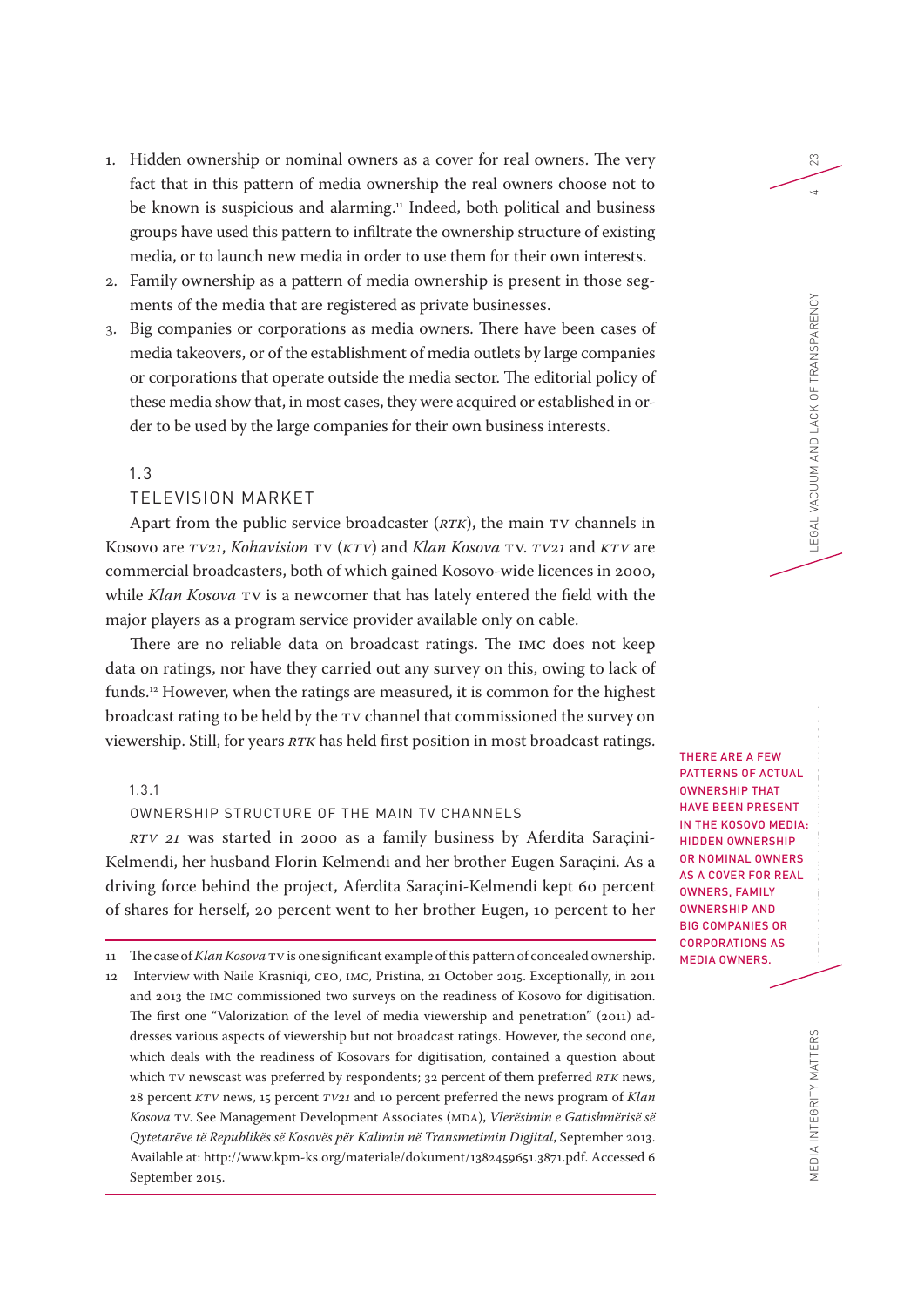- 1. Hidden ownership or nominal owners as a cover for real owners. The very fact that in this pattern of media ownership the real owners choose not to be known is suspicious and alarming.<sup>11</sup> Indeed, both political and business groups have used this pattern to infiltrate the ownership structure of existing media, or to launch new media in order to use them for their own interests.
- 2. Family ownership as a pattern of media ownership is present in those segments of the media that are registered as private businesses.
- 3. Big companies or corporations as media owners. There have been cases of media takeovers, or of the establishment of media outlets by large companies or corporations that operate outside the media sector. The editorial policy of these media show that, in most cases, they were acquired or established in order to be used by the large companies for their own business interests.

#### TELEVISION MARKET

Apart from the public service broadcaster (*RTK*), the main TV channels in Kosovo are *TV21*, *Kohavision* TV (*KTV*) and *Klan Kosova* TV. *TV21* and *KTV* are commercial broadcasters, both of which gained Kosovo-wide licences in 2000, while *Klan Kosova* TV is a newcomer that has lately entered the field with the major players as a program service provider available only on cable.

There are no reliable data on broadcast ratings. The IMC does not keep data on ratings, nor have they carried out any survey on this, owing to lack of funds.12 However, when the ratings are measured, it is common for the highest broadcast rating to be held by the TV channel that commissioned the survey on viewership. Still, for years *RTK* has held first position in most broadcast ratings.

# 1.3.1

#### OWNERSHIP STRUCTURE OF THE MAIN TV CHANNELS

*RTV 21* was started in 2000 as a family business by Aferdita Saraçini-Kelmendi, her husband Florin Kelmendi and her brother Eugen Saraçini. As a driving force behind the project, Aferdita Saraçini-Kelmendi kept 60 percent of shares for herself, 20 percent went to her brother Eugen, 10 percent to her

THERE ARE A FEW PATTERNS OF ACTUAL OWNERSHIP THAT HAVE BEEN PRESENT IN THE KOSOVO MEDIA: HIDDEN OWNERSHIP OR NOMINAL OWNERS AS A COVER FOR REAL OWNERS, FAMILY OWNERSHIP AND BIG COMPANIES OR CORPORATIONS AS MEDIA OWNERS.

23

<sup>11</sup> The case of *Klan Kosova* TV is one significant example of this pattern of concealed ownership. 12 Interview with Naile Krasniqi, CEO, IMC, Pristina, 21 October 2015. Exceptionally, in 2011 and 2013 the IMC commissioned two surveys on the readiness of Kosovo for digitisation. The first one "Valorization of the level of media viewership and penetration" (2011) addresses various aspects of viewership but not broadcast ratings. However, the second one, which deals with the readiness of Kosovars for digitisation, contained a question about which TV newscast was preferred by respondents; 32 percent of them preferred *RTK* news, 28 percent *KTV* news, 15 percent *TV21* and 10 percent preferred the news program of *Klan Kosova* TV. See Management Development Associates (MDA), *Vlerësimin e Gatishmërisë së Qytetarëve të Republikës së Kosovës për Kalimin në Transmetimin Digjital*, September 2013. Available at: http://www.kpm-ks.org/materiale/dokument/1382459651.3871.pdf. Accessed 6 September 2015.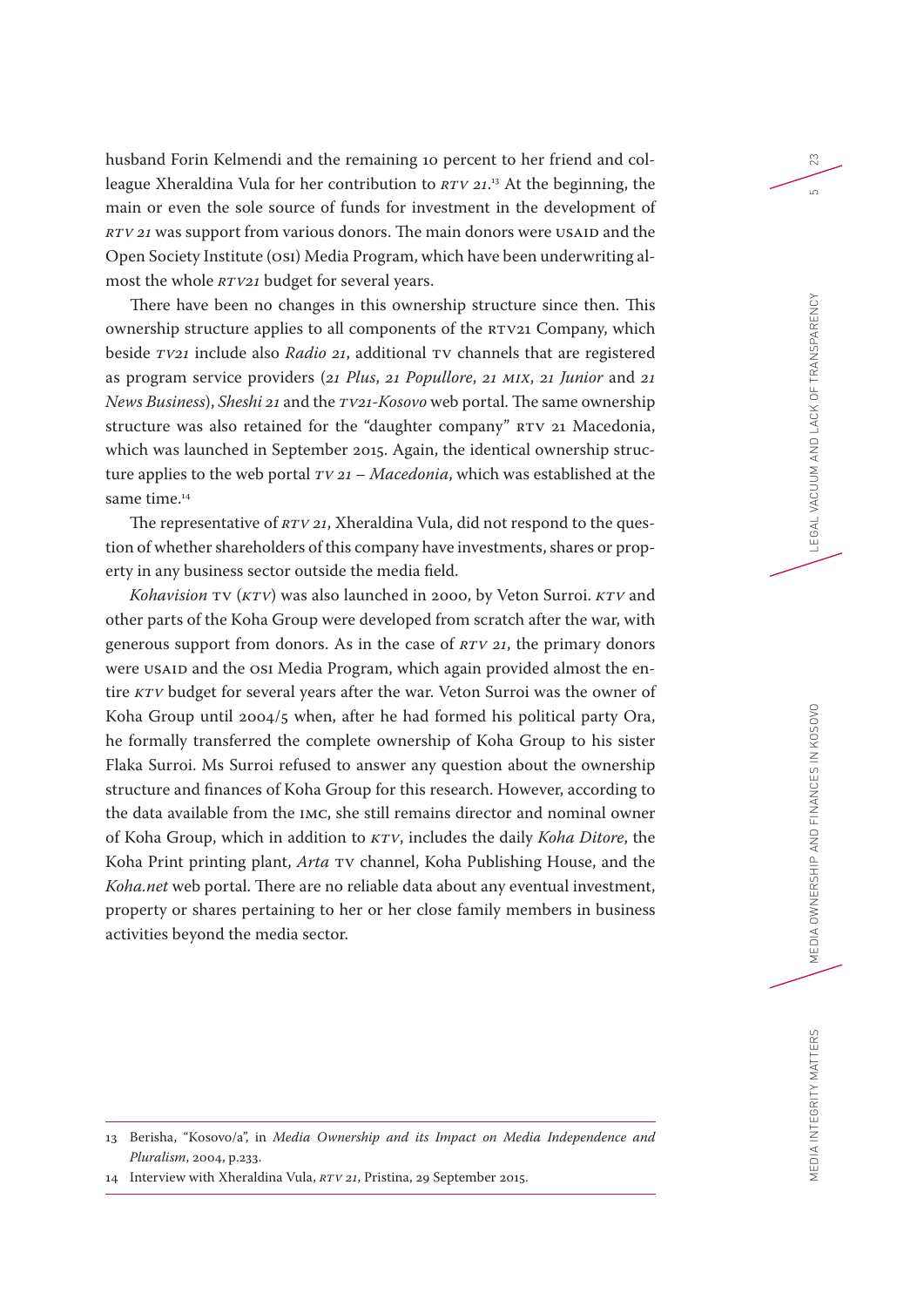husband Forin Kelmendi and the remaining 10 percent to her friend and colleague Xheraldina Vula for her contribution to *RTV 21*. 13 At the beginning, the main or even the sole source of funds for investment in the development of *RTV 21* was support from various donors. The main donors were USAID and the Open Society Institute (OSI) Media Program, which have been underwriting almost the whole *RTV21* budget for several years.

There have been no changes in this ownership structure since then. This ownership structure applies to all components of the RTV21 Company, which beside *TV21* include also *Radio 21*, additional TV channels that are registered as program service providers (*21 Plus*, *21 Popullore*, *21 MIX*, *21 Junior* and *21 News Business*), *Sheshi 21* and the *TV21-Kosovo* web portal. The same ownership structure was also retained for the "daughter company" RTV 21 Macedonia, which was launched in September 2015. Again, the identical ownership structure applies to the web portal *TV 21* – *Macedonia*, which was established at the same time.<sup>14</sup>

The representative of *RTV 21*, Xheraldina Vula, did not respond to the question of whether shareholders of this company have investments, shares or property in any business sector outside the media field.

*Kohavision* TV (*KTV*) was also launched in 2000, by Veton Surroi. *KTV* and other parts of the Koha Group were developed from scratch after the war, with generous support from donors. As in the case of *RTV 21*, the primary donors were USAID and the OSI Media Program, which again provided almost the entire *KTV* budget for several years after the war. Veton Surroi was the owner of Koha Group until 2004/5 when, after he had formed his political party Ora, he formally transferred the complete ownership of Koha Group to his sister Flaka Surroi. Ms Surroi refused to answer any question about the ownership structure and finances of Koha Group for this research. However, according to the data available from the IMC, she still remains director and nominal owner of Koha Group, which in addition to *KTV*, includes the daily *Koha Ditore*, the Koha Print printing plant, *Arta* TV channel, Koha Publishing House, and the *Koha.net* web portal. There are no reliable data about any eventual investment, property or shares pertaining to her or her close family members in business activities beyond the media sector.

23

 $\overline{5}$ 

<sup>13</sup> Berisha, "Kosovo/a", in *Media Ownership and its Impact on Media Independence and Pluralism*, 2004, p.233.

<sup>14</sup> Interview with Xheraldina Vula, *RTV 21*, Pristina, 29 September 2015.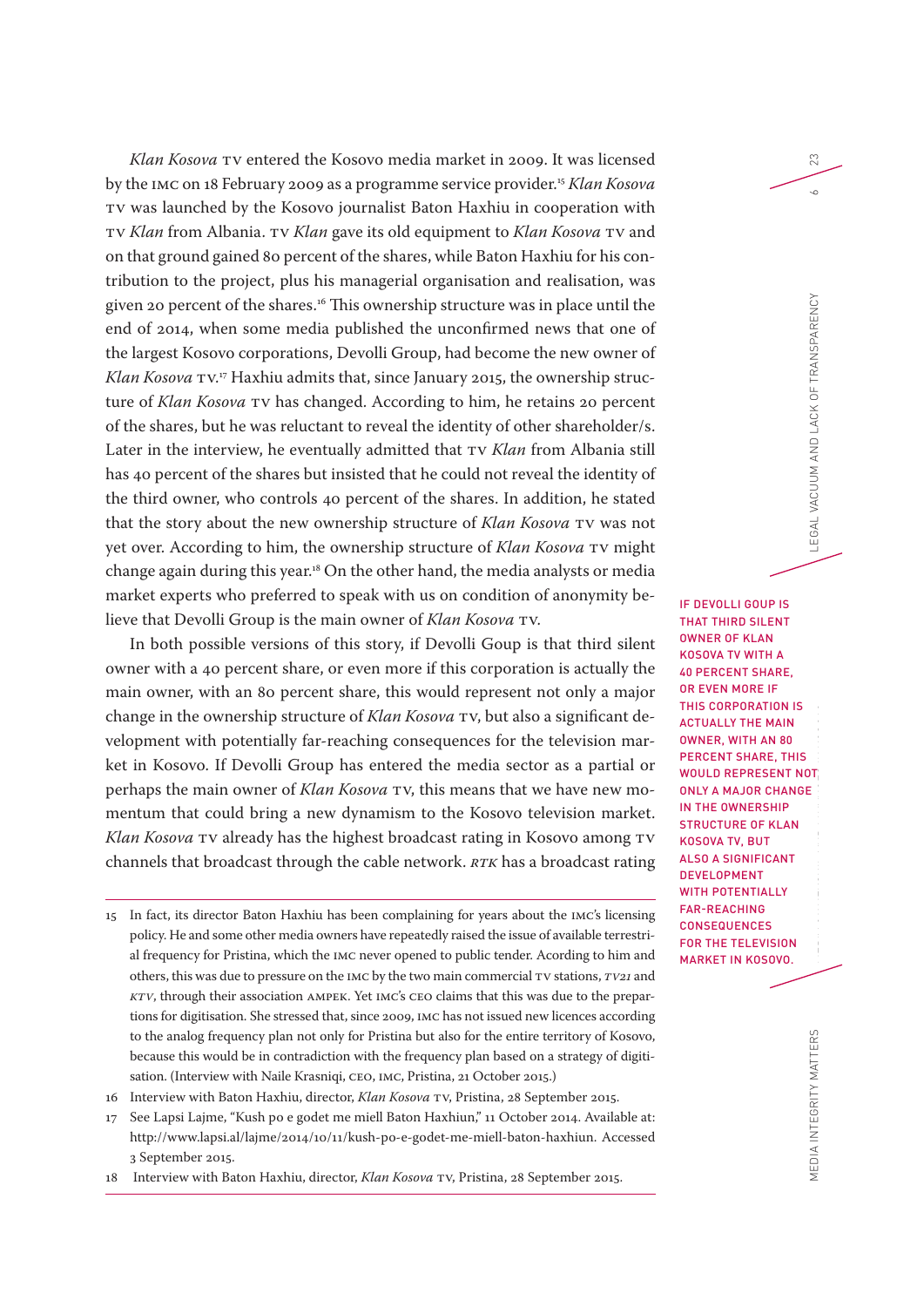*Klan Kosova* TV entered the Kosovo media market in 2009. It was licensed by the IMC on 18 February 2009 as a programme service provider.15 *Klan Kosova* TV was launched by the Kosovo journalist Baton Haxhiu in cooperation with TV *Klan* from Albania. TV *Klan* gave its old equipment to *Klan Kosova* TV and on that ground gained 80 percent of the shares, while Baton Haxhiu for his contribution to the project, plus his managerial organisation and realisation, was given 20 percent of the shares.16 This ownership structure was in place until the end of 2014, when some media published the unconfirmed news that one of the largest Kosovo corporations, Devolli Group, had become the new owner of *Klan Kosova* TV. 17 Haxhiu admits that, since January 2015, the ownership structure of *Klan Kosova* TV has changed. According to him, he retains 20 percent of the shares, but he was reluctant to reveal the identity of other shareholder/s. Later in the interview, he eventually admitted that TV *Klan* from Albania still has 40 percent of the shares but insisted that he could not reveal the identity of the third owner, who controls 40 percent of the shares. In addition, he stated that the story about the new ownership structure of *Klan Kosova* TV was not yet over. According to him, the ownership structure of *Klan Kosova* TV might change again during this year.18 On the other hand, the media analysts or media market experts who preferred to speak with us on condition of anonymity believe that Devolli Group is the main owner of *Klan Kosova* TV.

In both possible versions of this story, if Devolli Goup is that third silent owner with a 40 percent share, or even more if this corporation is actually the main owner, with an 80 percent share, this would represent not only a major change in the ownership structure of *Klan Kosova* TV, but also a significant development with potentially far-reaching consequences for the television market in Kosovo. If Devolli Group has entered the media sector as a partial or perhaps the main owner of *Klan Kosova* TV, this means that we have new momentum that could bring a new dynamism to the Kosovo television market. *Klan Kosova* TV already has the highest broadcast rating in Kosovo among TV channels that broadcast through the cable network. *RTK* has a broadcast rating

- 15 In fact, its director Baton Haxhiu has been complaining for years about the IMC's licensing policy. He and some other media owners have repeatedly raised the issue of available terrestrial frequency for Pristina, which the IMC never opened to public tender. Acording to him and others, this was due to pressure on the IMC by the two main commercial TV stations, *TV21* and *KTV*, through their association AMPEK. Yet IMC's CEO claims that this was due to the prepartions for digitisation. She stressed that, since 2009, IMC has not issued new licences according to the analog frequency plan not only for Pristina but also for the entire territory of Kosovo, because this would be in contradiction with the frequency plan based on a strategy of digitisation. (Interview with Naile Krasniqi, CEO, IMC, Pristina, 21 October 2015.)
- 16 Interview with Baton Haxhiu, director, *Klan Kosova* TV, Pristina, 28 September 2015.
- 17 See Lapsi Lajme, "Kush po e godet me miell Baton Haxhiun," 11 October 2014. Available at: http://www.lapsi.al/lajme/2014/10/11/kush-po-e-godet-me-miell-baton-haxhiun. Accessed 3 September 2015.
- 18 Interview with Baton Haxhiu, director, *Klan Kosova* TV, Pristina, 28 September 2015.

MEDIA INTEGRITY MATTERS MEDIA INTEGRITY MATTERS MEDIA OWNERSHIP AND LACK OF TRANSPARENCY 6 GENERAL VACUUM AND LACK OF TRANSPARENCY 6 GENERAL VACUUM AND LACK OF TRANSPARENCY 6 GENERAL VACUUM AND LACK OF TRANSPARENCY 6 GENER IF DEVOLLI GOUP IS THAT THIRD SILENT OWNER OF KLAN KOSOVA TV WITH A 40 PERCENT SHARE, OR EVEN MORE IF THIS CORPORATION IS ACTUALLY THE MAIN OWNER, WITH AN 80 PERCENT SHARE, THIS WOULD REPRESENT NOT ONLY A MAJOR CHANGE IN THE OWNERSHIP STRUCTURE OF KLAN KOSOVA TV, BUT ALSO A SIGNIFICANT DEVELOPMENT WITH POTENTIALLY FAR-REACHING **CONSEQUENCES** FOR THE TELEVISION MARKET IN KOSOVO.

23

 $\sim$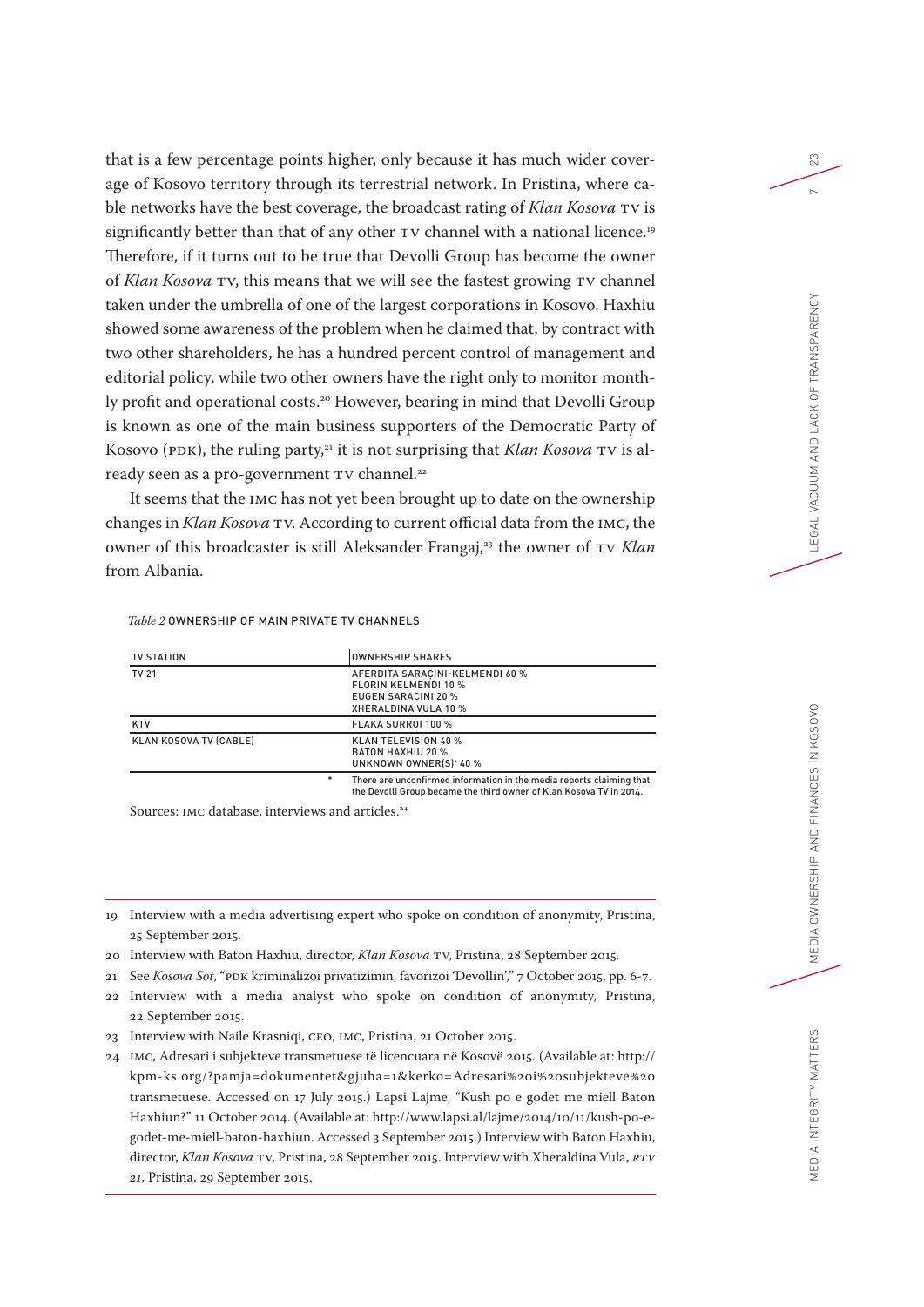that is a few percentage points higher, only because it has much wider coverage of Kosovo territory through its terrestrial network. In Pristina, where cable networks have the best coverage, the broadcast rating of *Klan Kosova* TV is significantly better than that of any other TV channel with a national licence.<sup>19</sup> Therefore, if it turns out to be true that Devolli Group has become the owner of *Klan Kosova* TV, this means that we will see the fastest growing TV channel taken under the umbrella of one of the largest corporations in Kosovo. Haxhiu showed some awareness of the problem when he claimed that, by contract with two other shareholders, he has a hundred percent control of management and editorial policy, while two other owners have the right only to monitor monthly profit and operational costs.<sup>20</sup> However, bearing in mind that Devolli Group is known as one of the main business supporters of the Democratic Party of Kosovo (PDK), the ruling party,<sup>21</sup> it is not surprising that *Klan Kosova* TV is already seen as a pro-government TV channel.<sup>22</sup>

It seems that the IMC has not yet been brought up to date on the ownership changes in *Klan Kosova* TV. According to current official data from the IMC, the owner of this broadcaster is still Aleksander Frangaj,<sup>23</sup> the owner of TV *Klan* from Albania.

#### *Table 2* OWNERSHIP OF MAIN PRIVATE TV CHANNELS

| TV STATION                    |   | OWNERSHIP SHARES                                                                                       |
|-------------------------------|---|--------------------------------------------------------------------------------------------------------|
| <b>TV 21</b>                  |   | AFERDITA SARACINI-KELMENDI 60 %<br>FLORIN KELMENDI 10 %<br>EUGEN SARACINI 20 %<br>XHERALDINA VULA 10 % |
| <b>KTV</b>                    |   | FLAKA SURROI 100 %                                                                                     |
| <b>KLAN KOSOVA TV (CABLE)</b> |   | <b>KLAN TELEVISION 40 %</b><br><b>BATON HAXHIU 20 %</b><br>UNKNOWN OWNER(S)' 40 %                      |
|                               | * | There are unconfirmed information in the media reports claiming that                                   |

\* There are unconfirmed information in the media reports claiming that the Devolli Group became the third owner of Klan Kosova TV in 2014.

Sources: IMC database, interviews and articles.<sup>24</sup>

- 20 Interview with Baton Haxhiu, director, *Klan Kosova* TV, Pristina, 28 September 2015.
- 21 See *Kosova Sot*, "PDK kriminalizoi privatizimin, favorizoi 'Devollin'," 7 October 2015, pp. 6-7.
- 22 Interview with a media analyst who spoke on condition of anonymity, Pristina, 22 September 2015.
- 23 Interview with Naile Krasniqi, CEO, IMC, Pristina, 21 October 2015.
- 24 IMC, Adresari i subjekteve transmetuese të licencuara në Kosovë 2015. (Available at: http:// kpm-ks.org/?pamja=dokumentet&gjuha=1&kerko=Adresari%20i%20subjekteve%20 transmetuese. Accessed on 17 July 2015.) Lapsi Lajme, "Kush po e godet me miell Baton Haxhiun?" 11 October 2014. (Available at: http://www.lapsi.al/lajme/2014/10/11/kush-po-egodet-me-miell-baton-haxhiun. Accessed 3 September 2015.) Interview with Baton Haxhiu, director, *Klan Kosova* TV, Pristina, 28 September 2015. Interview with Xheraldina Vula, *RTV 21*, Pristina, 29 September 2015.

23

 $\sim$ 

<sup>19</sup> Interview with a media advertising expert who spoke on condition of anonymity, Pristina, 25 September 2015.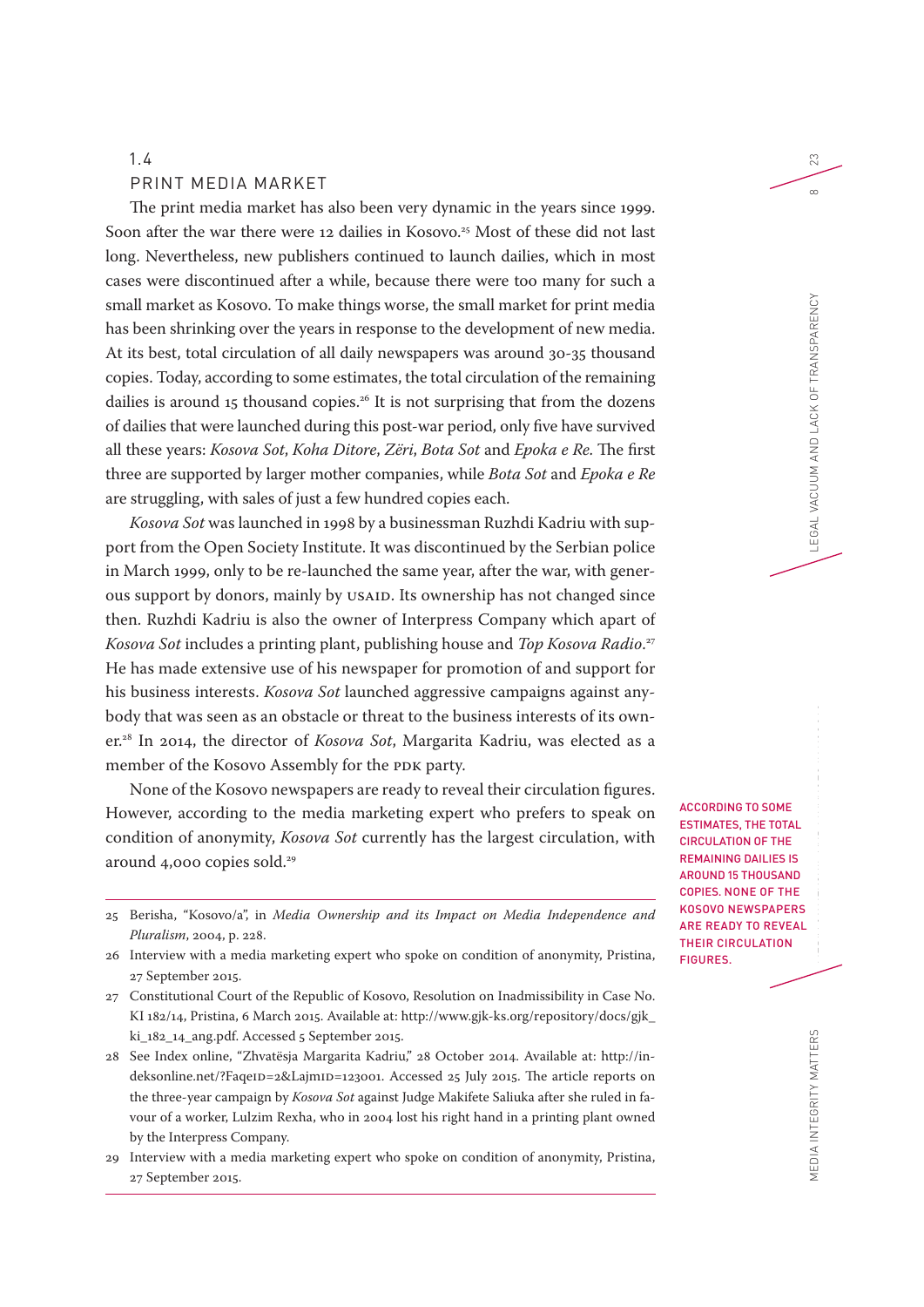#### PRINT MEDIA MARKET

The print media market has also been very dynamic in the years since 1999. Soon after the war there were 12 dailies in Kosovo.<sup>25</sup> Most of these did not last long. Nevertheless, new publishers continued to launch dailies, which in most cases were discontinued after a while, because there were too many for such a small market as Kosovo. To make things worse, the small market for print media has been shrinking over the years in response to the development of new media. At its best, total circulation of all daily newspapers was around 30-35 thousand copies. Today, according to some estimates, the total circulation of the remaining dailies is around 15 thousand copies.<sup>26</sup> It is not surprising that from the dozens of dailies that were launched during this post-war period, only five have survived all these years: *Kosova Sot*, *Koha Ditore*, *Zëri*, *Bota Sot* and *Epoka e Re*. The first three are supported by larger mother companies, while *Bota Sot* and *Epoka e Re* are struggling, with sales of just a few hundred copies each.

*Kosova Sot* was launched in 1998 by a businessman Ruzhdi Kadriu with support from the Open Society Institute. It was discontinued by the Serbian police in March 1999, only to be re-launched the same year, after the war, with generous support by donors, mainly by USAID. Its ownership has not changed since then. Ruzhdi Kadriu is also the owner of Interpress Company which apart of *Kosova Sot* includes a printing plant, publishing house and *Top Kosova Radio*. 27 He has made extensive use of his newspaper for promotion of and support for his business interests. *Kosova Sot* launched aggressive campaigns against anybody that was seen as an obstacle or threat to the business interests of its owner.28 In 2014, the director of *Kosova Sot*, Margarita Kadriu, was elected as a member of the Kosovo Assembly for the PDK party.

None of the Kosovo newspapers are ready to reveal their circulation figures. However, according to the media marketing expert who prefers to speak on condition of anonymity, *Kosova Sot* currently has the largest circulation, with around 4,000 copies sold.<sup>29</sup>

- 25 Berisha, "Kosovo/a", in *Media Ownership and its Impact on Media Independence and Pluralism*, 2004, p. 228.
- 26 Interview with a media marketing expert who spoke on condition of anonymity, Pristina, 27 September 2015.
- 27 Constitutional Court of the Republic of Kosovo, Resolution on Inadmissibility in Case No. KI 182/14, Pristina, 6 March 2015. Available at: http://www.gjk-ks.org/repository/docs/gjk\_ ki\_182\_14\_ang.pdf. Accessed 5 September 2015.

28 See Index online, "Zhvatësja Margarita Kadriu," 28 October 2014. Available at: http://indeksonline.net/?FaqeID=2&LajmID=123001. Accessed 25 July 2015. The article reports on the three-year campaign by *Kosova Sot* against Judge Makifete Saliuka after she ruled in favour of a worker, Lulzim Rexha, who in 2004 lost his right hand in a printing plant owned by the Interpress Company.

29 Interview with a media marketing expert who spoke on condition of anonymity, Pristina, 27 September 2015.

ACCORDING TO SOME ESTIMATES, THE TOTAL CIRCULATION OF THE REMAINING DAILIES IS AROUND 15 THOUSAND COPIES. NONE OF THE KOSOVO NEWSPAPERS ARE READY TO REVEAL THEIR CIRCULATION FIGURES.

23

 $\infty$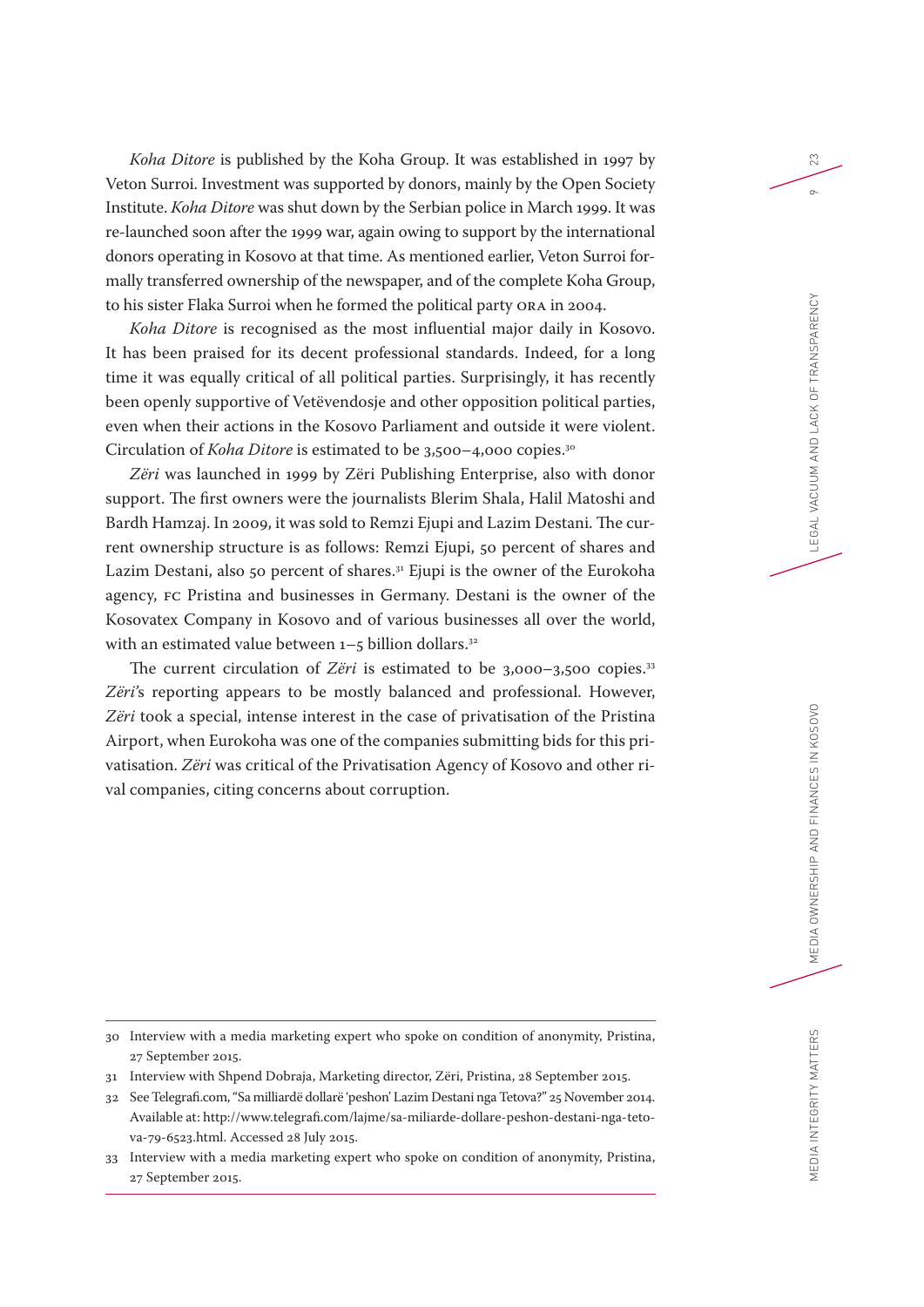*Koha Ditore* is published by the Koha Group. It was established in 1997 by Veton Surroi. Investment was supported by donors, mainly by the Open Society Institute. *Koha Ditore* was shut down by the Serbian police in March 1999. It was re-launched soon after the 1999 war, again owing to support by the international donors operating in Kosovo at that time. As mentioned earlier, Veton Surroi formally transferred ownership of the newspaper, and of the complete Koha Group, to his sister Flaka Surroi when he formed the political party ORA in 2004.

*Koha Ditore* is recognised as the most influential major daily in Kosovo. It has been praised for its decent professional standards. Indeed, for a long time it was equally critical of all political parties. Surprisingly, it has recently been openly supportive of Vetëvendosje and other opposition political parties, even when their actions in the Kosovo Parliament and outside it were violent. Circulation of *Koha Ditore* is estimated to be 3,500–4,000 copies.30

*Zëri* was launched in 1999 by Zëri Publishing Enterprise, also with donor support. The first owners were the journalists Blerim Shala, Halil Matoshi and Bardh Hamzaj. In 2009, it was sold to Remzi Ejupi and Lazim Destani. The current ownership structure is as follows: Remzi Ejupi, 50 percent of shares and Lazim Destani, also 50 percent of shares.<sup>31</sup> Ejupi is the owner of the Eurokoha agency, FC Pristina and businesses in Germany. Destani is the owner of the Kosovatex Company in Kosovo and of various businesses all over the world, with an estimated value between  $1-5$  billion dollars.<sup>32</sup>

The current circulation of *Zëri* is estimated to be 3,000-3,500 copies.<sup>33</sup> *Zëri'*s reporting appears to be mostly balanced and professional. However, *Zëri* took a special, intense interest in the case of privatisation of the Pristina Airport, when Eurokoha was one of the companies submitting bids for this privatisation. *Zëri* was critical of the Privatisation Agency of Kosovo and other rival companies, citing concerns about corruption.

- 27 September 2015.
- 31 Interview with Shpend Dobraja, Marketing director, Zëri, Pristina, 28 September 2015.
- 32 See Telegrafi.com, "Sa milliardë dollarë 'peshon' Lazim Destani nga Tetova?" 25 November 2014. Available at: http://www.telegrafi.com/lajme/sa-miliarde-dollare-peshon-destani-nga-tetova-79-6523.html. Accessed 28 July 2015.
- 33 Interview with a media marketing expert who spoke on condition of anonymity, Pristina, 27 September 2015.

23

 $\sigma$ 

<sup>30</sup> Interview with a media marketing expert who spoke on condition of anonymity, Pristina,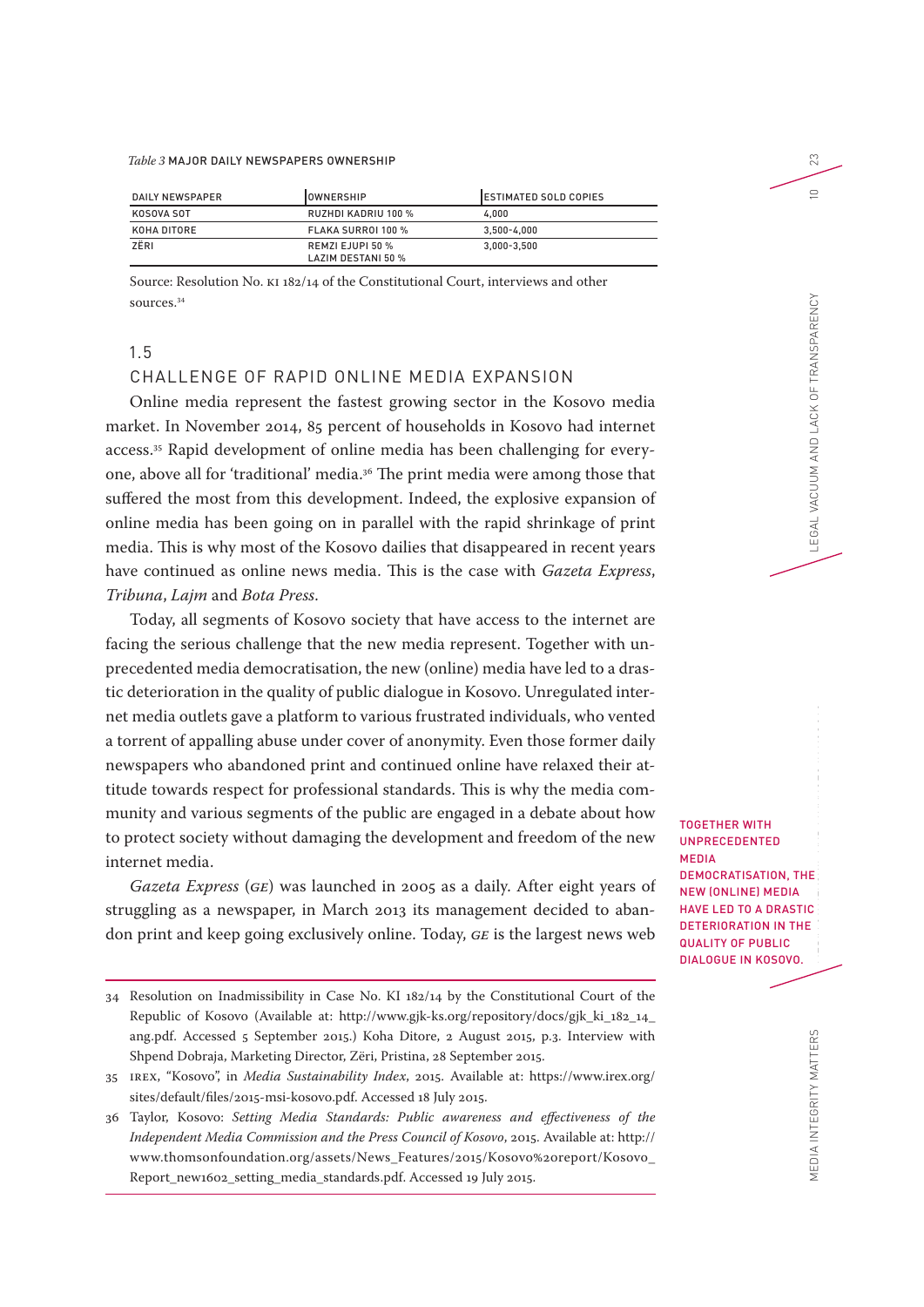#### *Table 3* MAJOR DAILY NEWSPAPERS OWNERSHIP

| DAILY NEWSPAPER | IOWNERSHIP                             | IESTIMATED SOLD COPIES |
|-----------------|----------------------------------------|------------------------|
| KOSOVA SOT      | RUZHDI KADRIU 100 %                    | 4.000                  |
| KOHA DITORE     | FLAKA SURROI 100 %                     | $3.500 - 4.000$        |
| ZËRI            | REMZI EJUPI 50 %<br>LAZIM DESTANI 50 % | $3.000 - 3.500$        |

Source: Resolution No. KI 182/14 of the Constitutional Court, interviews and other sources.34

#### 1.5

#### CHALLENGE OF RAPID ONLINE MEDIA EXPANSION

Online media represent the fastest growing sector in the Kosovo media market. In November 2014, 85 percent of households in Kosovo had internet access.35 Rapid development of online media has been challenging for everyone, above all for 'traditional' media.36 The print media were among those that suffered the most from this development. Indeed, the explosive expansion of online media has been going on in parallel with the rapid shrinkage of print media. This is why most of the Kosovo dailies that disappeared in recent years have continued as online news media. This is the case with *Gazeta Express*, *Tribuna*, *Lajm* and *Bota Press*.

Today, all segments of Kosovo society that have access to the internet are facing the serious challenge that the new media represent. Together with unprecedented media democratisation, the new (online) media have led to a drastic deterioration in the quality of public dialogue in Kosovo. Unregulated internet media outlets gave a platform to various frustrated individuals, who vented a torrent of appalling abuse under cover of anonymity. Even those former daily newspapers who abandoned print and continued online have relaxed their attitude towards respect for professional standards. This is why the media community and various segments of the public are engaged in a debate about how to protect society without damaging the development and freedom of the new internet media.

*Gazeta Express* (*GE*) was launched in 2005 as a daily. After eight years of struggling as a newspaper, in March 2013 its management decided to abandon print and keep going exclusively online. Today, *GE* is the largest news web

TOGETHER WITH UNPRECEDENTED MEDIA DEMOCRATISATION, THE NEW (ONLINE) MEDIA HAVE LED TO A DRASTIC DETERIORATION IN THE QUALITY OF PUBLIC DIALOGUE IN KOSOVO.

23

 $\supseteq$ 

<sup>34</sup> Resolution on Inadmissibility in Case No. KI 182/14 by the Constitutional Court of the Republic of Kosovo (Available at: http://www.gjk-ks.org/repository/docs/gjk\_ki\_182\_14\_ ang.pdf. Accessed 5 September 2015.) Koha Ditore, 2 August 2015, p.3. Interview with Shpend Dobraja, Marketing Director, Zëri, Pristina, 28 September 2015.

<sup>35</sup> IREX, "Kosovo", in *Media Sustainability Index*, 2015. Available at: https://www.irex.org/ sites/default/files/2015-msi-kosovo.pdf. Accessed 18 July 2015.

<sup>36</sup> Taylor, Kosovo: *Setting Media Standards: Public awareness and effectiveness of the Independent Media Commission and the Press Council of Kosovo*, 2015. Available at: http:// www.thomsonfoundation.org/assets/News\_Features/2015/Kosovo%20report/Kosovo\_ Report\_new1602\_setting\_media\_standards.pdf. Accessed 19 July 2015.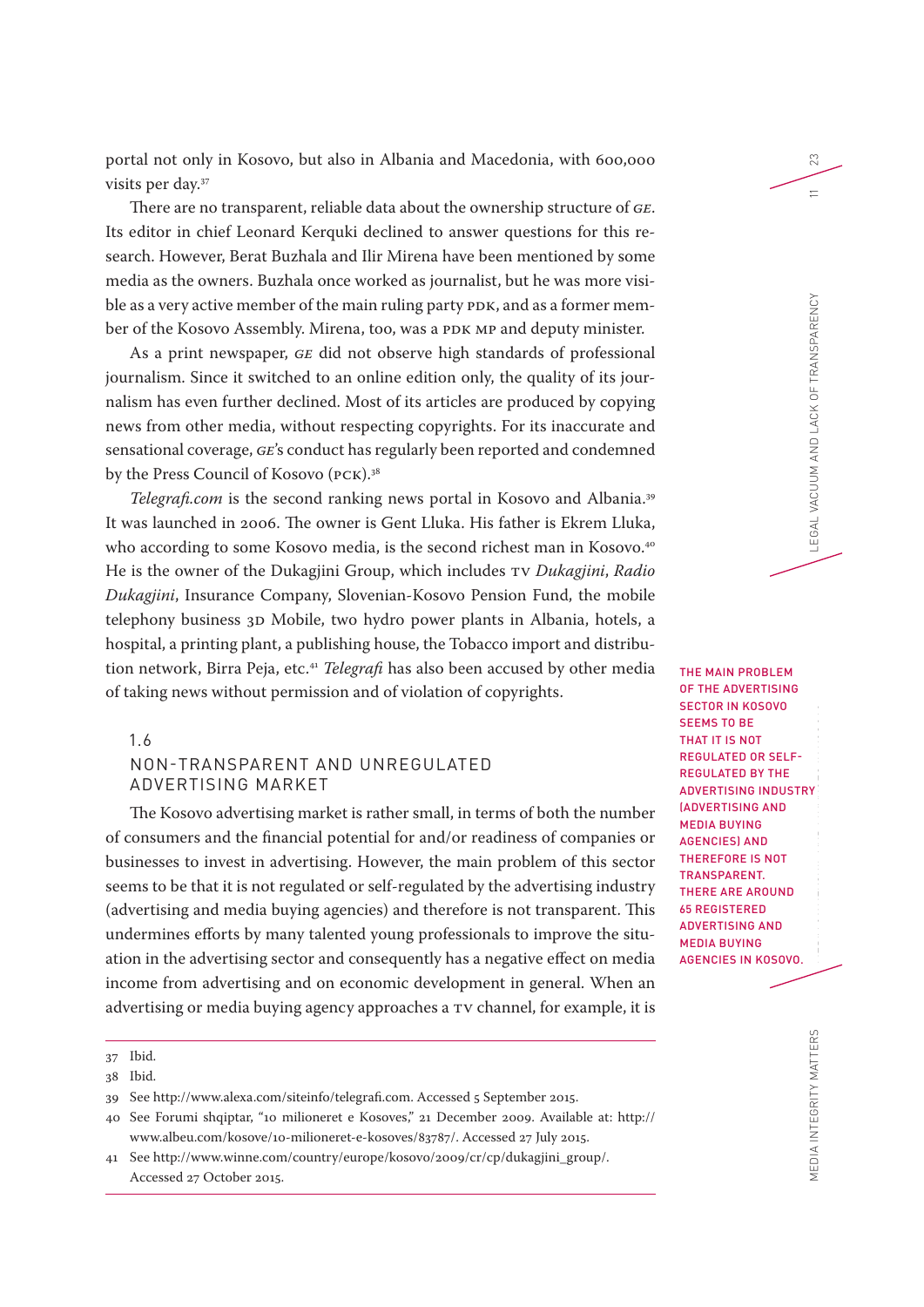portal not only in Kosovo, but also in Albania and Macedonia, with 600,000 visits per day.37

There are no transparent, reliable data about the ownership structure of *GE*. Its editor in chief Leonard Kerquki declined to answer questions for this research. However, Berat Buzhala and Ilir Mirena have been mentioned by some media as the owners. Buzhala once worked as journalist, but he was more visible as a very active member of the main ruling party PDK, and as a former member of the Kosovo Assembly. Mirena, too, was a PDK MP and deputy minister.

As a print newspaper, *GE* did not observe high standards of professional journalism. Since it switched to an online edition only, the quality of its journalism has even further declined. Most of its articles are produced by copying news from other media, without respecting copyrights. For its inaccurate and sensational coverage, *GE*'s conduct has regularly been reported and condemned by the Press Council of Kosovo (PCK).<sup>38</sup>

*Telegrafi.com* is the second ranking news portal in Kosovo and Albania.<sup>39</sup> It was launched in 2006. The owner is Gent Lluka. His father is Ekrem Lluka, who according to some Kosovo media, is the second richest man in Kosovo.<sup>40</sup> He is the owner of the Dukagjini Group, which includes TV *Dukagjini*, *Radio Dukagjini*, Insurance Company, Slovenian-Kosovo Pension Fund, the mobile telephony business 3D Mobile, two hydro power plants in Albania, hotels, a hospital, a printing plant, a publishing house, the Tobacco import and distribution network, Birra Peja, etc.41 *Telegrafi* has also been accused by other media of taking news without permission and of violation of copyrights.

## 1.6

# NON-TRANSPARENT AND UNREGULATED ADVERTISING MARKET

The Kosovo advertising market is rather small, in terms of both the number of consumers and the financial potential for and/or readiness of companies or businesses to invest in advertising. However, the main problem of this sector seems to be that it is not regulated or self-regulated by the advertising industry (advertising and media buying agencies) and therefore is not transparent. This undermines efforts by many talented young professionals to improve the situation in the advertising sector and consequently has a negative effect on media income from advertising and on economic development in general. When an advertising or media buying agency approaches a TV channel, for example, it is

THE MAIN PROBLEM OF THE ADVERTISING SECTOR IN KOSOVO SEEMS TO BE THAT IT IS NOT REGULATED OR SELF-REGULATED BY THE ADVERTISING INDUSTRY (ADVERTISING AND MEDIA BUYING AGENCIES) AND THEREFORE IS NOT TRANSPARENT. THERE ARE AROUND 65 REGISTERED ADVERTISING AND MEDIA BUYING AGENCIES IN KOSOVO.

23

 $\equiv$ 

<sup>37</sup> Ibid.

<sup>38</sup> Ibid.

<sup>39</sup> See http://www.alexa.com/siteinfo/telegrafi.com. Accessed 5 September 2015.

<sup>40</sup> See Forumi shqiptar, "10 milioneret e Kosoves," 21 December 2009. Available at: http:// www.albeu.com/kosove/10-milioneret-e-kosoves/83787/. Accessed 27 July 2015.

<sup>41</sup> See http://www.winne.com/country/europe/kosovo/2009/cr/cp/dukagjini\_group/. Accessed 27 October 2015.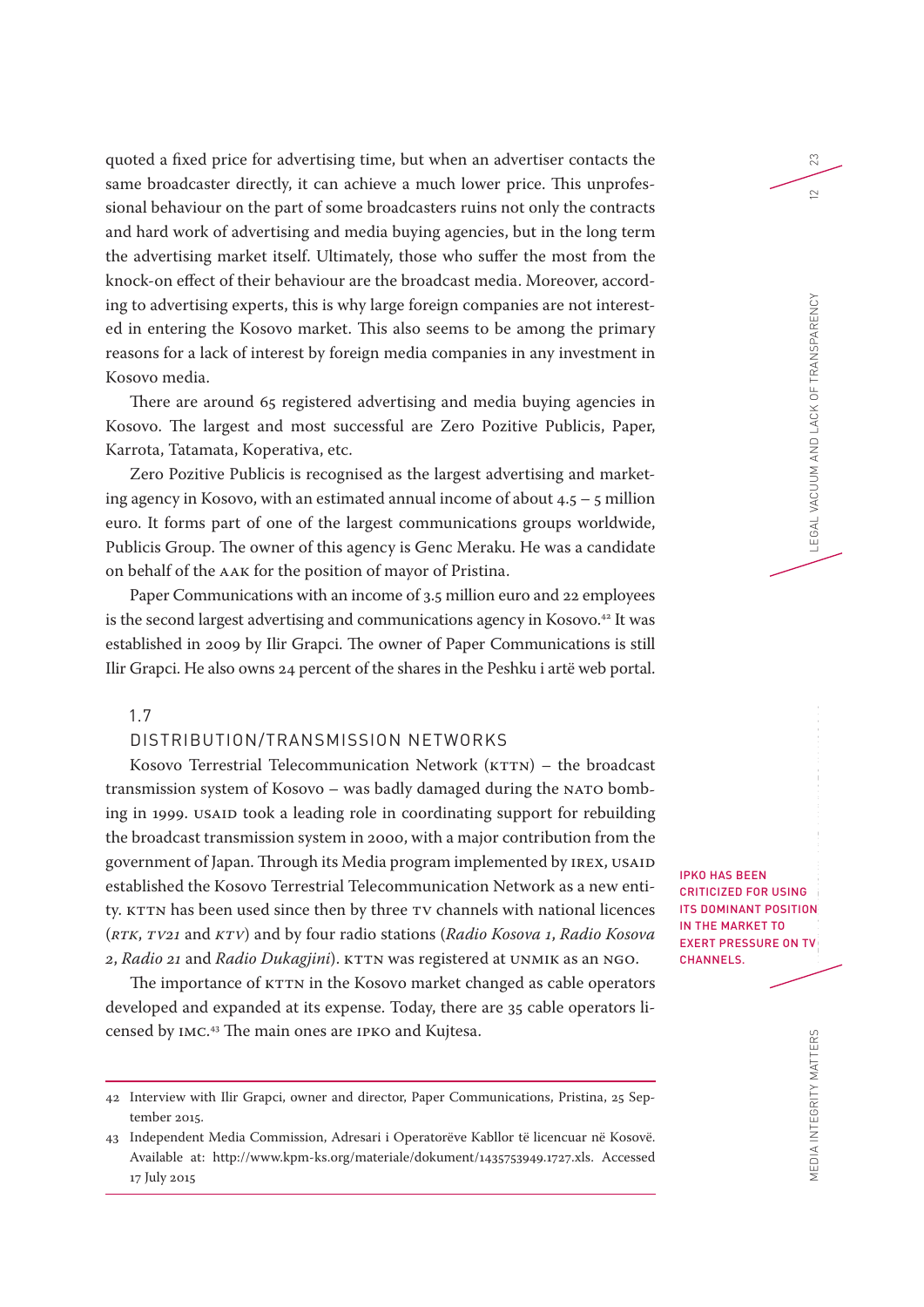quoted a fixed price for advertising time, but when an advertiser contacts the same broadcaster directly, it can achieve a much lower price. This unprofessional behaviour on the part of some broadcasters ruins not only the contracts and hard work of advertising and media buying agencies, but in the long term the advertising market itself. Ultimately, those who suffer the most from the knock-on effect of their behaviour are the broadcast media. Moreover, according to advertising experts, this is why large foreign companies are not interested in entering the Kosovo market. This also seems to be among the primary reasons for a lack of interest by foreign media companies in any investment in Kosovo media.

There are around 65 registered advertising and media buying agencies in Kosovo. The largest and most successful are Zero Pozitive Publicis, Paper, Karrota, Tatamata, Koperativa, etc.

Zero Pozitive Publicis is recognised as the largest advertising and marketing agency in Kosovo, with an estimated annual income of about  $4.5 - 5$  million euro. It forms part of one of the largest communications groups worldwide, Publicis Group. The owner of this agency is Genc Meraku. He was a candidate on behalf of the AAK for the position of mayor of Pristina.

Paper Communications with an income of 3.5 million euro and 22 employees is the second largest advertising and communications agency in Kosovo.<sup>42</sup> It was established in 2009 by Ilir Grapci. The owner of Paper Communications is still Ilir Grapci. He also owns 24 percent of the shares in the Peshku i artë web portal.

## 1.7

# DISTRIBUTION/TRANSMISSION NETWORKS

Kosovo Terrestrial Telecommunication Network (KTTN) – the broadcast transmission system of Kosovo – was badly damaged during the NATO bombing in 1999. USAID took a leading role in coordinating support for rebuilding the broadcast transmission system in 2000, with a major contribution from the government of Japan. Through its Media program implemented by IREX, USAID established the Kosovo Terrestrial Telecommunication Network as a new entity. KTTN has been used since then by three TV channels with national licences (*RTK*, *TV21* and *KTV*) and by four radio stations (*Radio Kosova 1*, *Radio Kosova 2*, *Radio 21* and *Radio Dukagjini*). KTTN was registered at UNMIK as an NGO.

The importance of KTTN in the Kosovo market changed as cable operators developed and expanded at its expense. Today, there are 35 cable operators licensed by IMC. 43 The main ones are IPKO and Kujtesa.

IPKO HAS BEEN CRITICIZED FOR USING ITS DOMINANT POSITION IN THE MARKET TO EXERT PRESSURE ON TV CHANNELS.

23

 $\subseteq$ 

<sup>42</sup> Interview with Ilir Grapci, owner and director, Paper Communications, Pristina, 25 September 2015.

<sup>43</sup> Independent Media Commission, Adresari i Operatorëve Kabllor të licencuar në Kosovë. Available at: http://www.kpm-ks.org/materiale/dokument/1435753949.1727.xls. Accessed 17 July 2015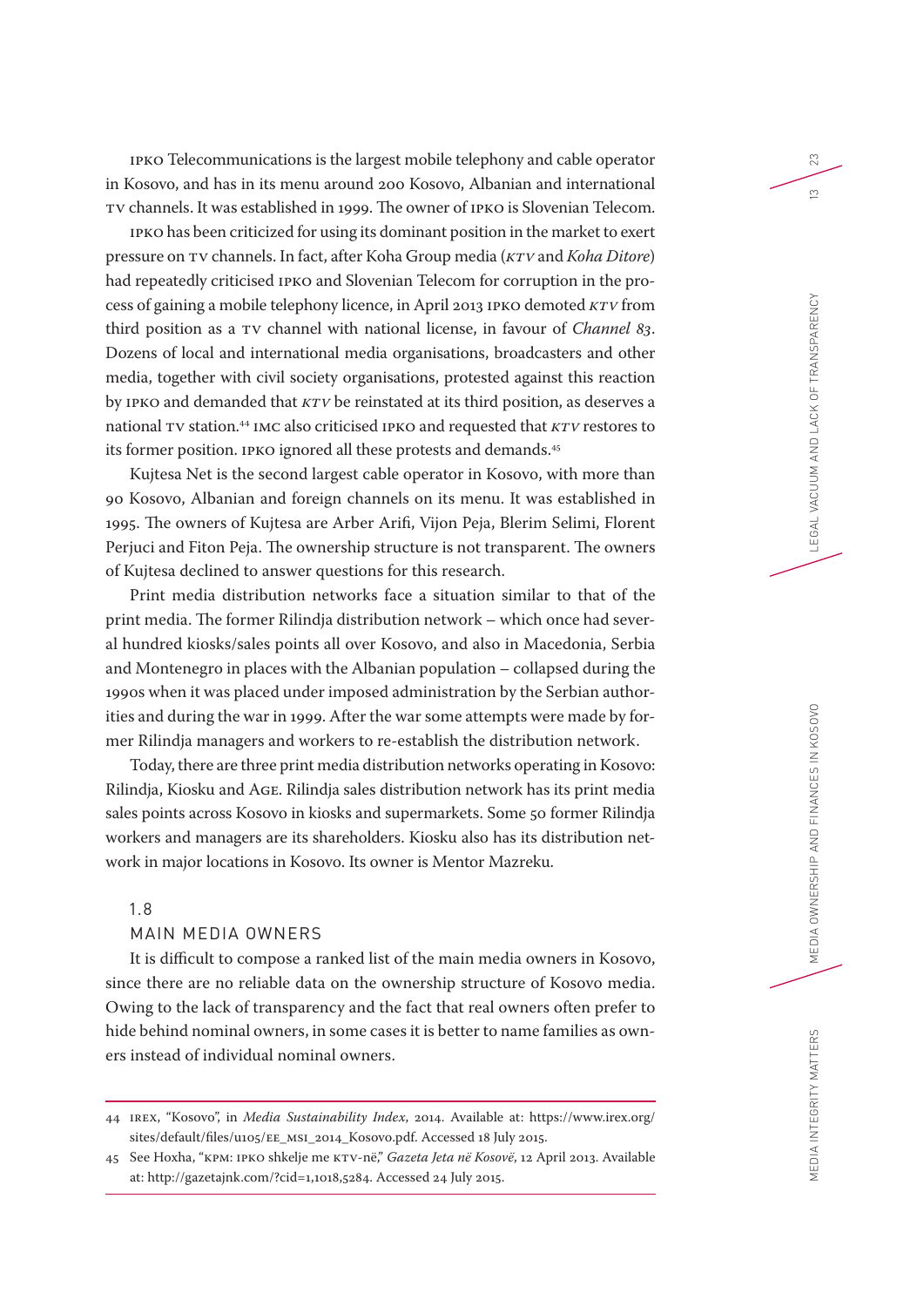IPKO Telecommunications is the largest mobile telephony and cable operator in Kosovo, and has in its menu around 200 Kosovo, Albanian and international TV channels. It was established in 1999. The owner of IPKO is Slovenian Telecom.

IPKO has been criticized for using its dominant position in the market to exert pressure on TV channels. In fact, after Koha Group media (*KTV* and *Koha Ditore*) had repeatedly criticised IPKO and Slovenian Telecom for corruption in the process of gaining a mobile telephony licence, in April 2013 IPKO demoted *KTV* from third position as a TV channel with national license, in favour of *Channel 83*. Dozens of local and international media organisations, broadcasters and other media, together with civil society organisations, protested against this reaction by IPKO and demanded that *KTV* be reinstated at its third position, as deserves a national TV station.44 IMC also criticised IPKO and requested that *KTV* restores to its former position. IPKO ignored all these protests and demands.45

Kujtesa Net is the second largest cable operator in Kosovo, with more than 90 Kosovo, Albanian and foreign channels on its menu. It was established in 1995. The owners of Kujtesa are Arber Arifi, Vijon Peja, Blerim Selimi, Florent Perjuci and Fiton Peja. The ownership structure is not transparent. The owners of Kujtesa declined to answer questions for this research.

Print media distribution networks face a situation similar to that of the print media. The former Rilindja distribution network – which once had several hundred kiosks/sales points all over Kosovo, and also in Macedonia, Serbia and Montenegro in places with the Albanian population – collapsed during the 1990s when it was placed under imposed administration by the Serbian authorities and during the war in 1999. After the war some attempts were made by former Rilindja managers and workers to re-establish the distribution network.

Today, there are three print media distribution networks operating in Kosovo: Rilindja, Kiosku and AGE. Rilindja sales distribution network has its print media sales points across Kosovo in kiosks and supermarkets. Some 50 former Rilindja workers and managers are its shareholders. Kiosku also has its distribution network in major locations in Kosovo. Its owner is Mentor Mazreku.

# 1.8

#### MAIN MEDIA OWNERS

It is difficult to compose a ranked list of the main media owners in Kosovo, since there are no reliable data on the ownership structure of Kosovo media. Owing to the lack of transparency and the fact that real owners often prefer to hide behind nominal owners, in some cases it is better to name families as owners instead of individual nominal owners.

44 IREX, "Kosovo", in *Media Sustainability Index*, 2014. Available at: https://www.irex.org/ sites/default/files/u105/EE\_MSI\_2014\_Kosovo.pdf. Accessed 18 July 2015.

45 See Hoxha, "KPM: IPKO shkelje me KTV-në," *Gazeta Jeta në Kosovë*, 12 April 2013. Available at: http://gazetajnk.com/?cid=1,1018,5284. Accessed 24 July 2015.

23

 $\tilde{c}$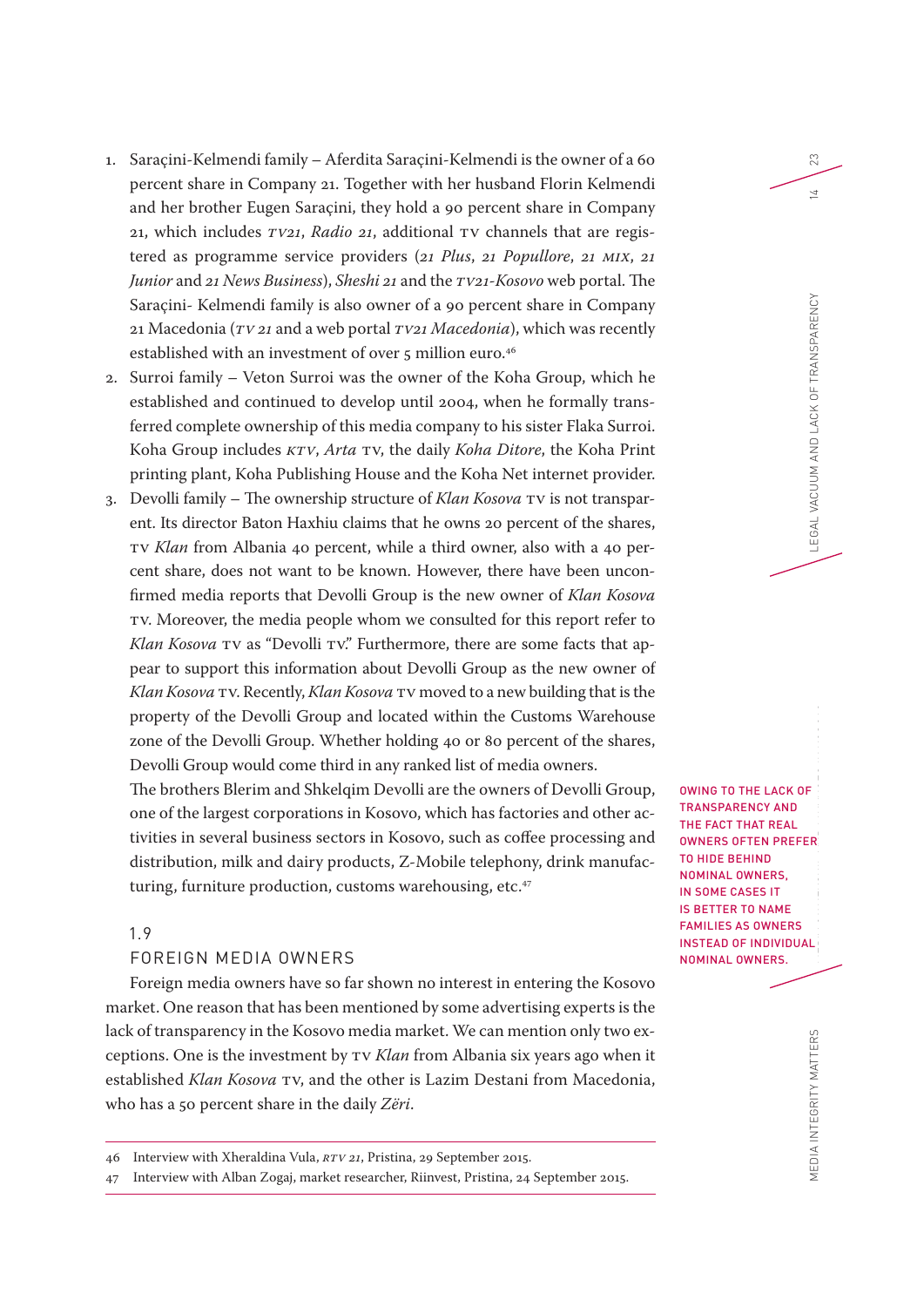- 1. Saraçini-Kelmendi family Aferdita Saraçini-Kelmendi is the owner of a 60 percent share in Company 21. Together with her husband Florin Kelmendi and her brother Eugen Saraçini, they hold a 90 percent share in Company 21, which includes *TV21*, *Radio 21*, additional TV channels that are registered as programme service providers (*21 Plus*, *21 Popullore*, *21 MIX*, *21 Junior* and *21 News Business*), *Sheshi 21* and the *TV21-Kosovo* web portal. The Saraçini- Kelmendi family is also owner of a 90 percent share in Company 21 Macedonia (*TV 21* and a web portal *TV21 Macedonia*), which was recently established with an investment of over 5 million euro.<sup>46</sup>
- 2. Surroi family Veton Surroi was the owner of the Koha Group, which he established and continued to develop until 2004, when he formally transferred complete ownership of this media company to his sister Flaka Surroi. Koha Group includes *KTV*, *Arta* TV, the daily *Koha Ditore*, the Koha Print printing plant, Koha Publishing House and the Koha Net internet provider.
- 3. Devolli family The ownership structure of *Klan Kosova* TV is not transparent. Its director Baton Haxhiu claims that he owns 20 percent of the shares, TV *Klan* from Albania 40 percent, while a third owner, also with a 40 percent share, does not want to be known. However, there have been unconfirmed media reports that Devolli Group is the new owner of *Klan Kosova* TV. Moreover, the media people whom we consulted for this report refer to *Klan Kosova* TV as "Devolli TV." Furthermore, there are some facts that appear to support this information about Devolli Group as the new owner of *Klan Kosova* TV. Recently, *Klan Kosova* TV moved to a new building that is the property of the Devolli Group and located within the Customs Warehouse zone of the Devolli Group. Whether holding 40 or 80 percent of the shares, Devolli Group would come third in any ranked list of media owners.

The brothers Blerim and Shkelqim Devolli are the owners of Devolli Group, one of the largest corporations in Kosovo, which has factories and other activities in several business sectors in Kosovo, such as coffee processing and distribution, milk and dairy products, Z-Mobile telephony, drink manufacturing, furniture production, customs warehousing, etc.<sup>47</sup>

## 1.9

#### FOREIGN MEDIA OWNERS

Foreign media owners have so far shown no interest in entering the Kosovo market. One reason that has been mentioned by some advertising experts is the lack of transparency in the Kosovo media market. We can mention only two exceptions. One is the investment by TV *Klan* from Albania six years ago when it established *Klan Kosova* TV, and the other is Lazim Destani from Macedonia, who has a 50 percent share in the daily *Zëri*.

47 Interview with Alban Zogaj, market researcher, Riinvest, Pristina, 24 September 2015.

OWING TO THE LACK OF TRANSPARENCY AND THE FACT THAT REAL OWNERS OFTEN PREFER TO HIDE BEHIND NOMINAL OWNERS, IN SOME CASES IT IS BETTER TO NAME FAMILIES AS OWNERS INSTEAD OF INDIVIDUAL NOMINAL OWNERS.

23

 $\overline{a}$ 

<sup>46</sup> Interview with Xheraldina Vula, *RTV 21*, Pristina, 29 September 2015.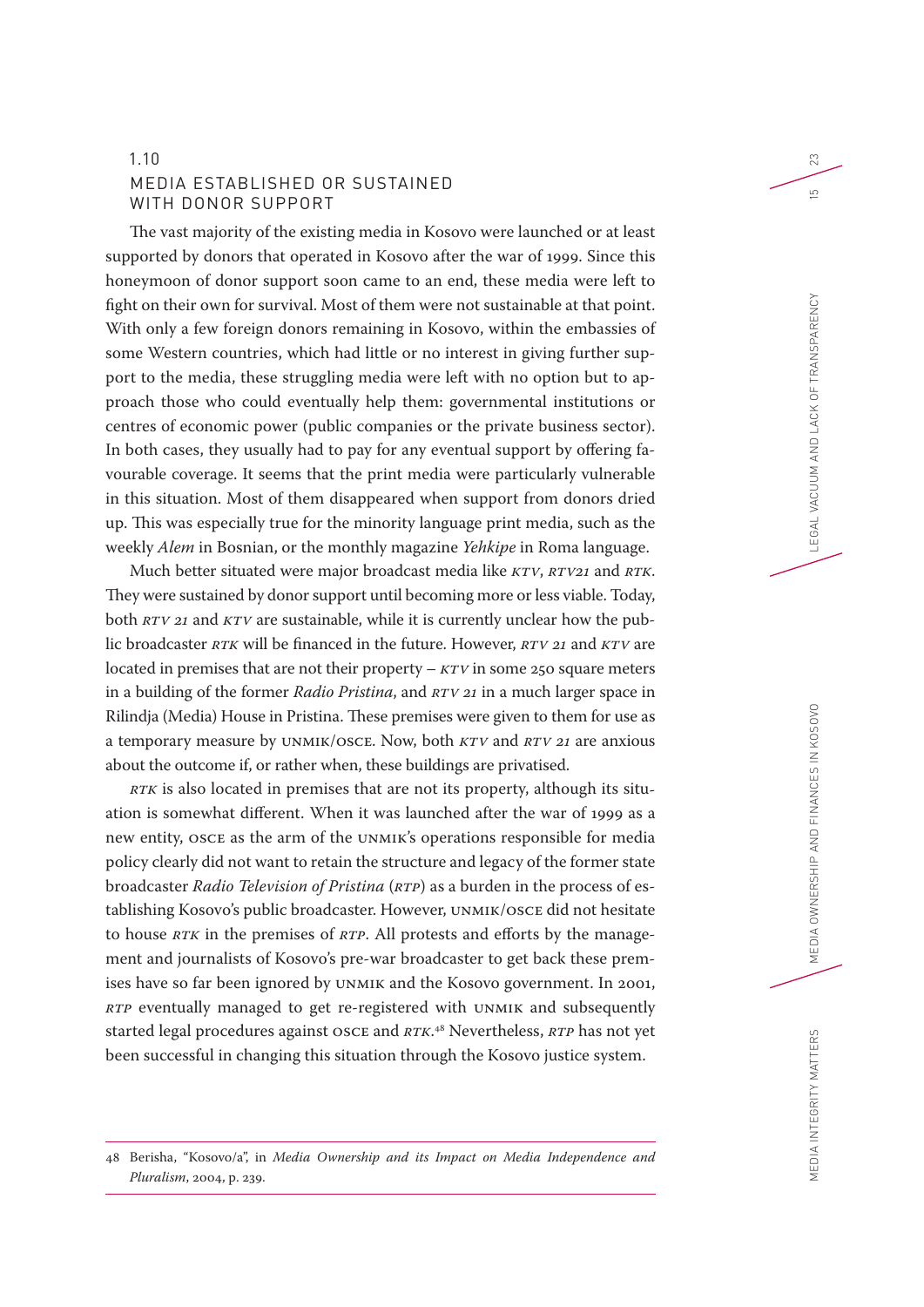# 1.10 MEDIA ESTABLISHED OR SUSTAINED WITH DONOR SUPPORT

The vast majority of the existing media in Kosovo were launched or at least supported by donors that operated in Kosovo after the war of 1999. Since this honeymoon of donor support soon came to an end, these media were left to fight on their own for survival. Most of them were not sustainable at that point. With only a few foreign donors remaining in Kosovo, within the embassies of some Western countries, which had little or no interest in giving further support to the media, these struggling media were left with no option but to approach those who could eventually help them: governmental institutions or centres of economic power (public companies or the private business sector). In both cases, they usually had to pay for any eventual support by offering favourable coverage. It seems that the print media were particularly vulnerable in this situation. Most of them disappeared when support from donors dried up. This was especially true for the minority language print media, such as the weekly *Alem* in Bosnian, or the monthly magazine *Yehkipe* in Roma language.

Much better situated were major broadcast media like *KTV*, *RTV21* and *RTK*. They were sustained by donor support until becoming more or less viable. Today, both *RTV 21* and *KTV* are sustainable, while it is currently unclear how the public broadcaster *RTK* will be financed in the future. However, *RTV 21* and *KTV* are located in premises that are not their property – *KTV* in some 250 square meters in a building of the former *Radio Pristina*, and *RTV 21* in a much larger space in Rilindja (Media) House in Pristina. These premises were given to them for use as a temporary measure by UNMIK/OSCE. Now, both *KTV* and *RTV 21* are anxious about the outcome if, or rather when, these buildings are privatised.

*RTK* is also located in premises that are not its property, although its situation is somewhat different. When it was launched after the war of 1999 as a new entity, OSCE as the arm of the UNMIK's operations responsible for media policy clearly did not want to retain the structure and legacy of the former state broadcaster *Radio Television of Pristina* (*RTP*) as a burden in the process of establishing Kosovo's public broadcaster. However, UNMIK/OSCE did not hesitate to house *RTK* in the premises of *RTP*. All protests and efforts by the management and journalists of Kosovo's pre-war broadcaster to get back these premises have so far been ignored by UNMIK and the Kosovo government. In 2001, *RTP* eventually managed to get re-registered with UNMIK and subsequently started legal procedures against OSCE and *RTK*. 48 Nevertheless, *RTP* has not yet been successful in changing this situation through the Kosovo justice system.

# 48 Berisha, "Kosovo/a", in *Media Ownership and its Impact on Media Independence and Pluralism*, 2004, p. 239.

23

 $\overline{5}$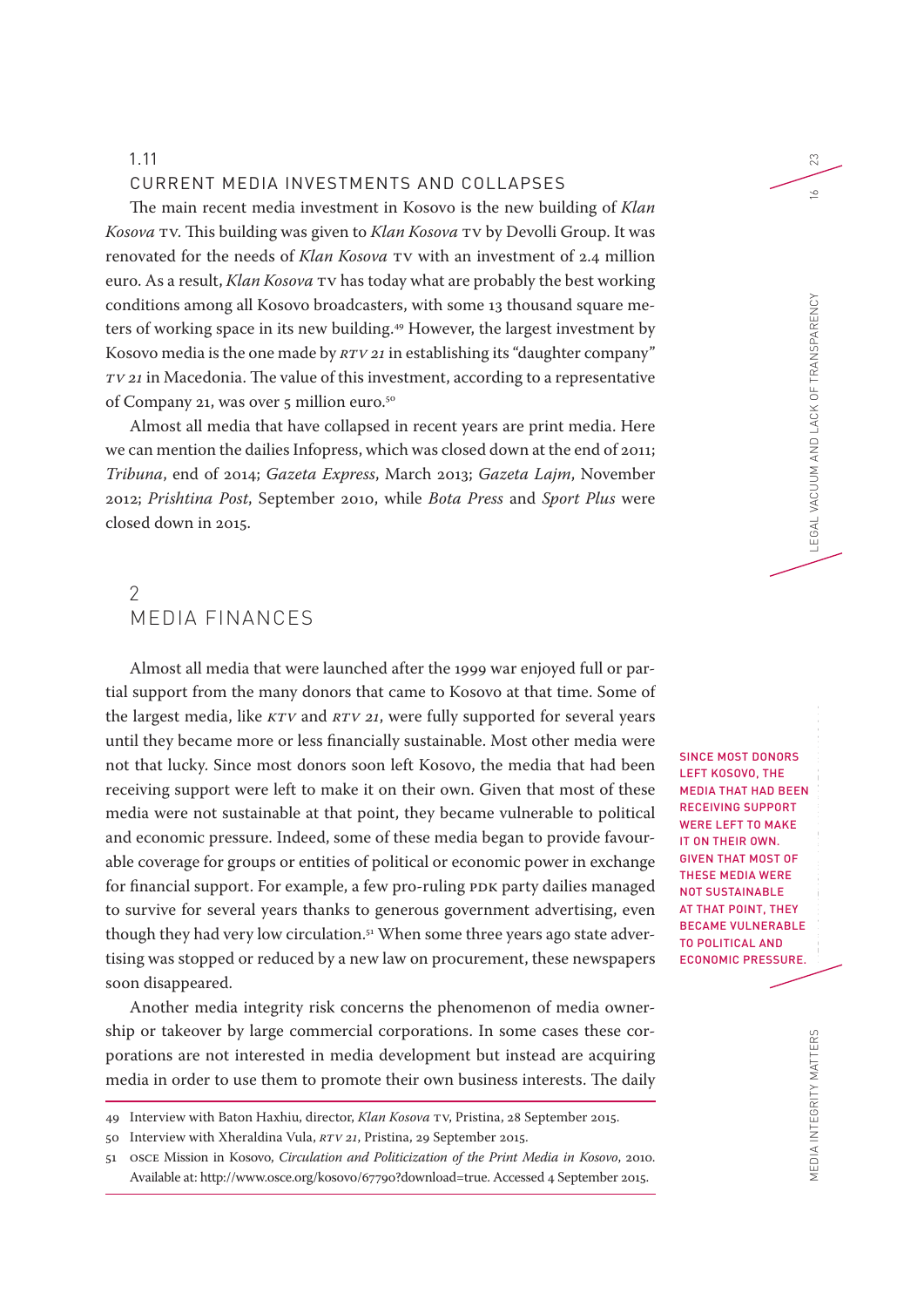#### CURRENT MEDIA INVESTMENTS AND COLLAPSES

The main recent media investment in Kosovo is the new building of *Klan Kosova* TV. This building was given to *Klan Kosova* TV by Devolli Group. It was renovated for the needs of *Klan Kosova* TV with an investment of 2.4 million euro. As a result, *Klan Kosova* TV has today what are probably the best working conditions among all Kosovo broadcasters, with some 13 thousand square meters of working space in its new building.<sup>49</sup> However, the largest investment by Kosovo media is the one made by *RTV 21* in establishing its "daughter company" *TV 21* in Macedonia. The value of this investment, according to a representative of Company 21, was over 5 million euro.<sup>50</sup>

Almost all media that have collapsed in recent years are print media. Here we can mention the dailies Infopress, which was closed down at the end of 2011; *Tribuna*, end of 2014; *Gazeta Express*, March 2013; *Gazeta Lajm*, November 2012; *Prishtina Post*, September 2010, while *Bota Press* and *Sport Plus* were closed down in 2015.

# $\mathcal{P}$ MEDIA FINANCES

Almost all media that were launched after the 1999 war enjoyed full or partial support from the many donors that came to Kosovo at that time. Some of the largest media, like *KTV* and *RTV 21*, were fully supported for several years until they became more or less financially sustainable. Most other media were not that lucky. Since most donors soon left Kosovo, the media that had been receiving support were left to make it on their own. Given that most of these media were not sustainable at that point, they became vulnerable to political and economic pressure. Indeed, some of these media began to provide favourable coverage for groups or entities of political or economic power in exchange for financial support. For example, a few pro-ruling PDK party dailies managed to survive for several years thanks to generous government advertising, even though they had very low circulation.<sup>51</sup> When some three years ago state advertising was stopped or reduced by a new law on procurement, these newspapers soon disappeared.

Another media integrity risk concerns the phenomenon of media ownership or takeover by large commercial corporations. In some cases these corporations are not interested in media development but instead are acquiring media in order to use them to promote their own business interests. The daily

SINCE MOST DONORS LEFT KOSOVO, THE MEDIA THAT HAD BEEN RECEIVING SUPPORT WERE LEFT TO MAKE IT ON THEIR OWN. GIVEN THAT MOST OF THESE MEDIA WERE NOT SUSTAINABLE AT THAT POINT, THEY BECAME VULNERABLE TO POLITICAL AND ECONOMIC PRESSURE.

23

 $\leq$ 

<sup>49</sup> Interview with Baton Haxhiu, director, *Klan Kosova* TV, Pristina, 28 September 2015.

<sup>50</sup> Interview with Xheraldina Vula, *RTV 21*, Pristina, 29 September 2015.

<sup>51</sup> OSCE Mission in Kosovo, *Circulation and Politicization of the Print Media in Kosovo*, 2010. Available at: http://www.osce.org/kosovo/67790?download=true. Accessed 4 September 2015.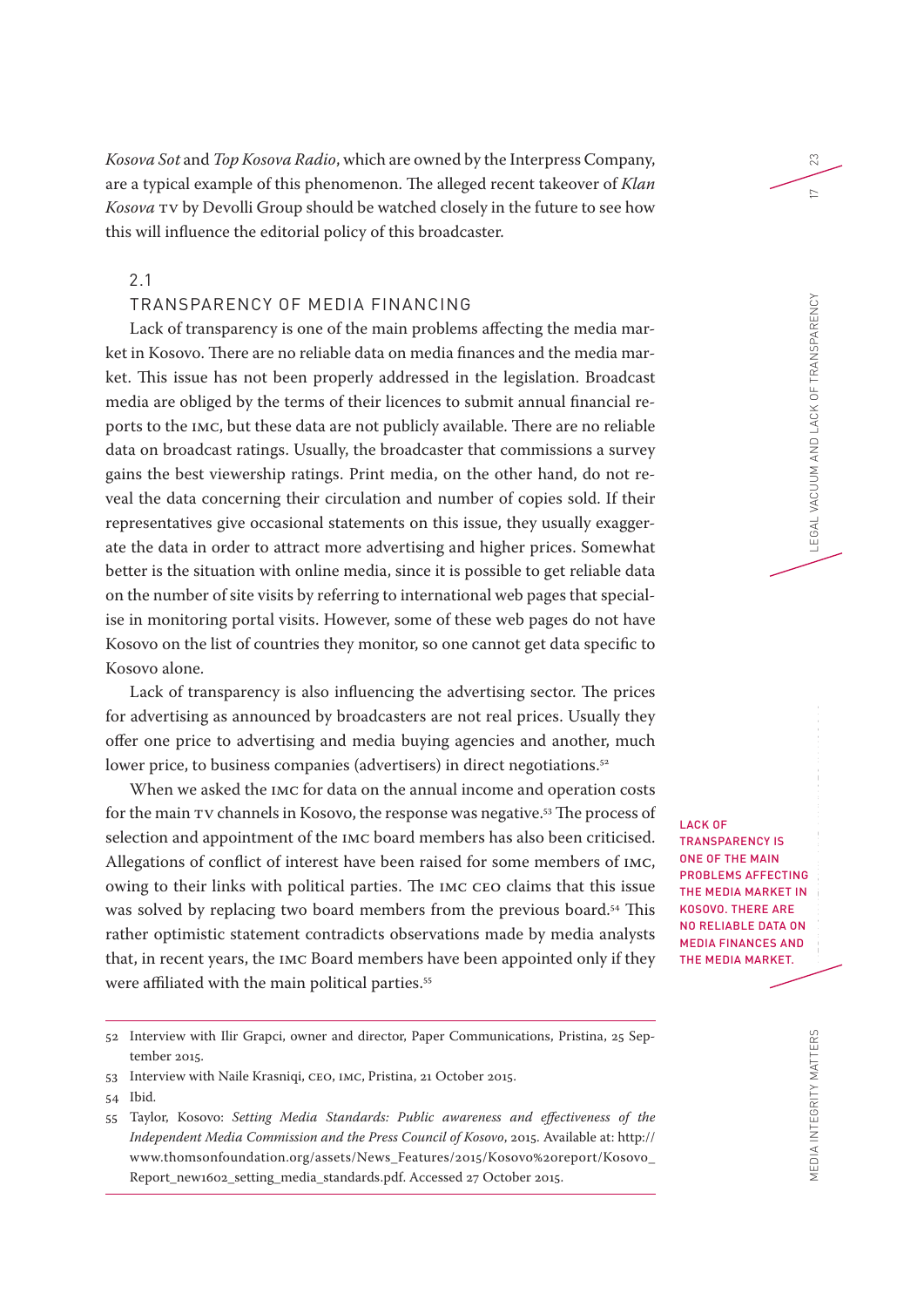*Kosova Sot* and *Top Kosova Radio*, which are owned by the Interpress Company, are a typical example of this phenomenon. The alleged recent takeover of *Klan Kosova* TV by Devolli Group should be watched closely in the future to see how this will influence the editorial policy of this broadcaster.

2.1

## TRANSPARENCY OF MEDIA FINANCING

Lack of transparency is one of the main problems affecting the media market in Kosovo. There are no reliable data on media finances and the media market. This issue has not been properly addressed in the legislation. Broadcast media are obliged by the terms of their licences to submit annual financial reports to the IMC, but these data are not publicly available. There are no reliable data on broadcast ratings. Usually, the broadcaster that commissions a survey gains the best viewership ratings. Print media, on the other hand, do not reveal the data concerning their circulation and number of copies sold. If their representatives give occasional statements on this issue, they usually exaggerate the data in order to attract more advertising and higher prices. Somewhat better is the situation with online media, since it is possible to get reliable data on the number of site visits by referring to international web pages that specialise in monitoring portal visits. However, some of these web pages do not have Kosovo on the list of countries they monitor, so one cannot get data specific to Kosovo alone.

Lack of transparency is also influencing the advertising sector. The prices for advertising as announced by broadcasters are not real prices. Usually they offer one price to advertising and media buying agencies and another, much lower price, to business companies (advertisers) in direct negotiations.<sup>52</sup>

When we asked the IMC for data on the annual income and operation costs for the main TV channels in Kosovo, the response was negative.53 The process of selection and appointment of the IMC board members has also been criticised. Allegations of conflict of interest have been raised for some members of IMC, owing to their links with political parties. The IMC CEO claims that this issue was solved by replacing two board members from the previous board.<sup>54</sup> This rather optimistic statement contradicts observations made by media analysts that, in recent years, the IMC Board members have been appointed only if they were affiliated with the main political parties.<sup>55</sup>

- 53 Interview with Naile Krasniqi, CEO, IMC, Pristina, 21 October 2015.
- 54 Ibid.

LACK OF TRANSPARENCY IS ONE OF THE MAIN PROBLEMS AFFECTING THE MEDIA MARKET IN KOSOVO. THERE ARE NO RELIABLE DATA ON MEDIA FINANCES AND THE MEDIA MARKET.

23

 $\sim$ 

<sup>52</sup> Interview with Ilir Grapci, owner and director, Paper Communications, Pristina, 25 September 2015.

<sup>55</sup> Taylor, Kosovo: *Setting Media Standards: Public awareness and effectiveness of the Independent Media Commission and the Press Council of Kosovo*, 2015. Available at: http:// www.thomsonfoundation.org/assets/News\_Features/2015/Kosovo%20report/Kosovo\_ Report\_new1602\_setting\_media\_standards.pdf. Accessed 27 October 2015.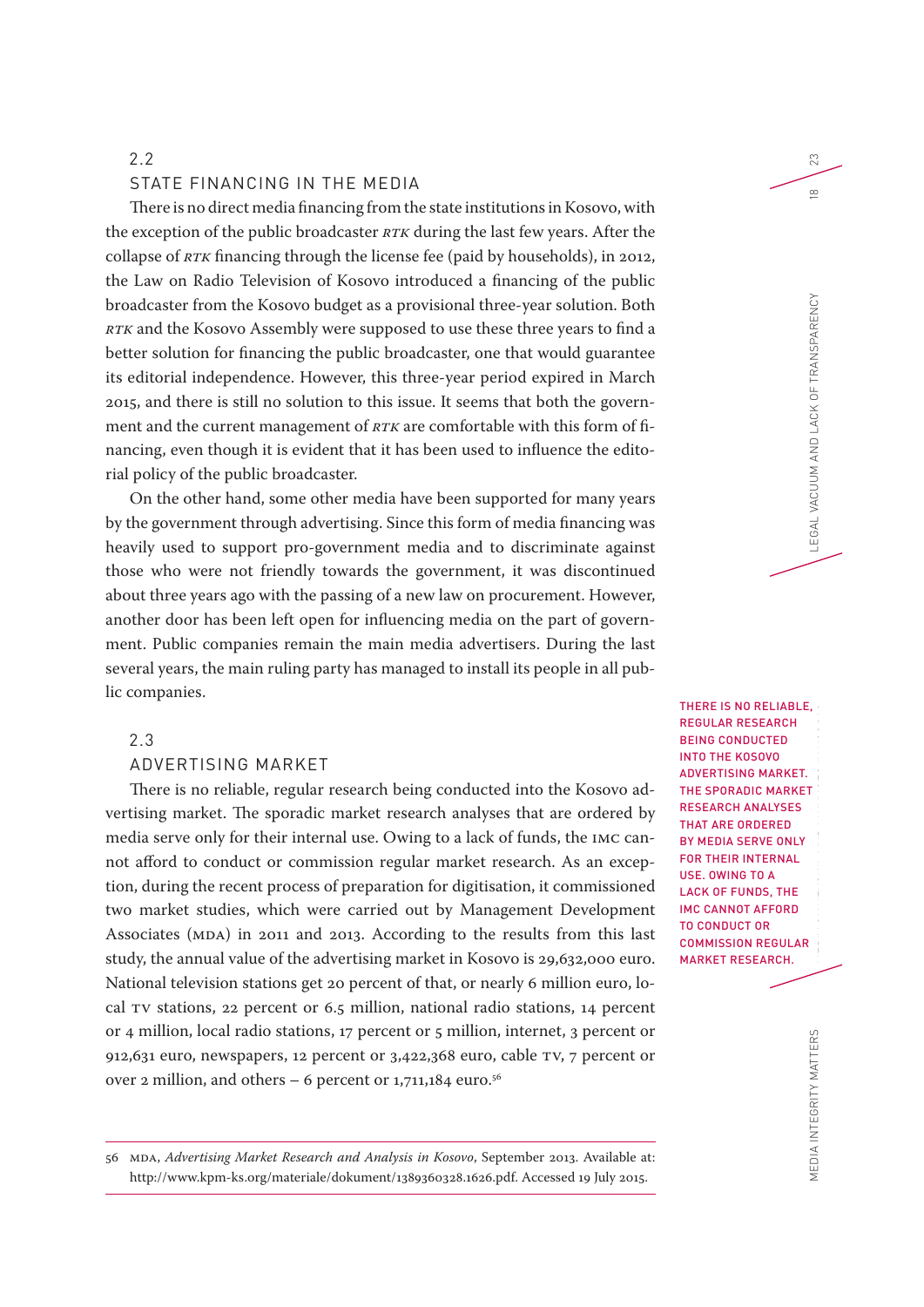#### STATE FINANCING IN THE MEDIA

There is no direct media financing from the state institutions in Kosovo, with the exception of the public broadcaster *RTK* during the last few years. After the collapse of *RTK* financing through the license fee (paid by households), in 2012, the Law on Radio Television of Kosovo introduced a financing of the public broadcaster from the Kosovo budget as a provisional three-year solution. Both *RTK* and the Kosovo Assembly were supposed to use these three years to find a better solution for financing the public broadcaster, one that would guarantee its editorial independence. However, this three-year period expired in March 2015, and there is still no solution to this issue. It seems that both the government and the current management of *RTK* are comfortable with this form of financing, even though it is evident that it has been used to influence the editorial policy of the public broadcaster.

On the other hand, some other media have been supported for many years by the government through advertising. Since this form of media financing was heavily used to support pro-government media and to discriminate against those who were not friendly towards the government, it was discontinued about three years ago with the passing of a new law on procurement. However, another door has been left open for influencing media on the part of government. Public companies remain the main media advertisers. During the last several years, the main ruling party has managed to install its people in all public companies.

# 2.3

# ADVERTISING MARKET

There is no reliable, regular research being conducted into the Kosovo advertising market. The sporadic market research analyses that are ordered by media serve only for their internal use. Owing to a lack of funds, the IMC cannot afford to conduct or commission regular market research. As an exception, during the recent process of preparation for digitisation, it commissioned two market studies, which were carried out by Management Development Associates (MDA) in 2011 and 2013. According to the results from this last study, the annual value of the advertising market in Kosovo is 29,632,000 euro. National television stations get 20 percent of that, or nearly 6 million euro, local TV stations, 22 percent or 6.5 million, national radio stations, 14 percent or 4 million, local radio stations, 17 percent or 5 million, internet, 3 percent or 912,631 euro, newspapers, 12 percent or 3,422,368 euro, cable TV, 7 percent or over 2 million, and others – 6 percent or  $1,711,184$  euro.<sup>56</sup>

THERE IS NO RELIABLE, REGULAR RESEARCH BEING CONDUCTED THE SPORADIC MARKET MARKET RESEARCH.

23

 $\frac{\infty}{2}$ 

INTO THE KOSOVO ADVERTISING MARKET. RESEARCH ANALYSES THAT ARE ORDERED BY MEDIA SERVE ONLY FOR THEIR INTERNAL USE. OWING TO A LACK OF FUNDS, THE IMC CANNOT AFFORD TO CONDUCT OR COMMISSION REGULAR

56 MDA, *Advertising Market Research and Analysis in Kosovo*, September 2013. Available at: http://www.kpm-ks.org/materiale/dokument/1389360328.1626.pdf. Accessed 19 July 2015.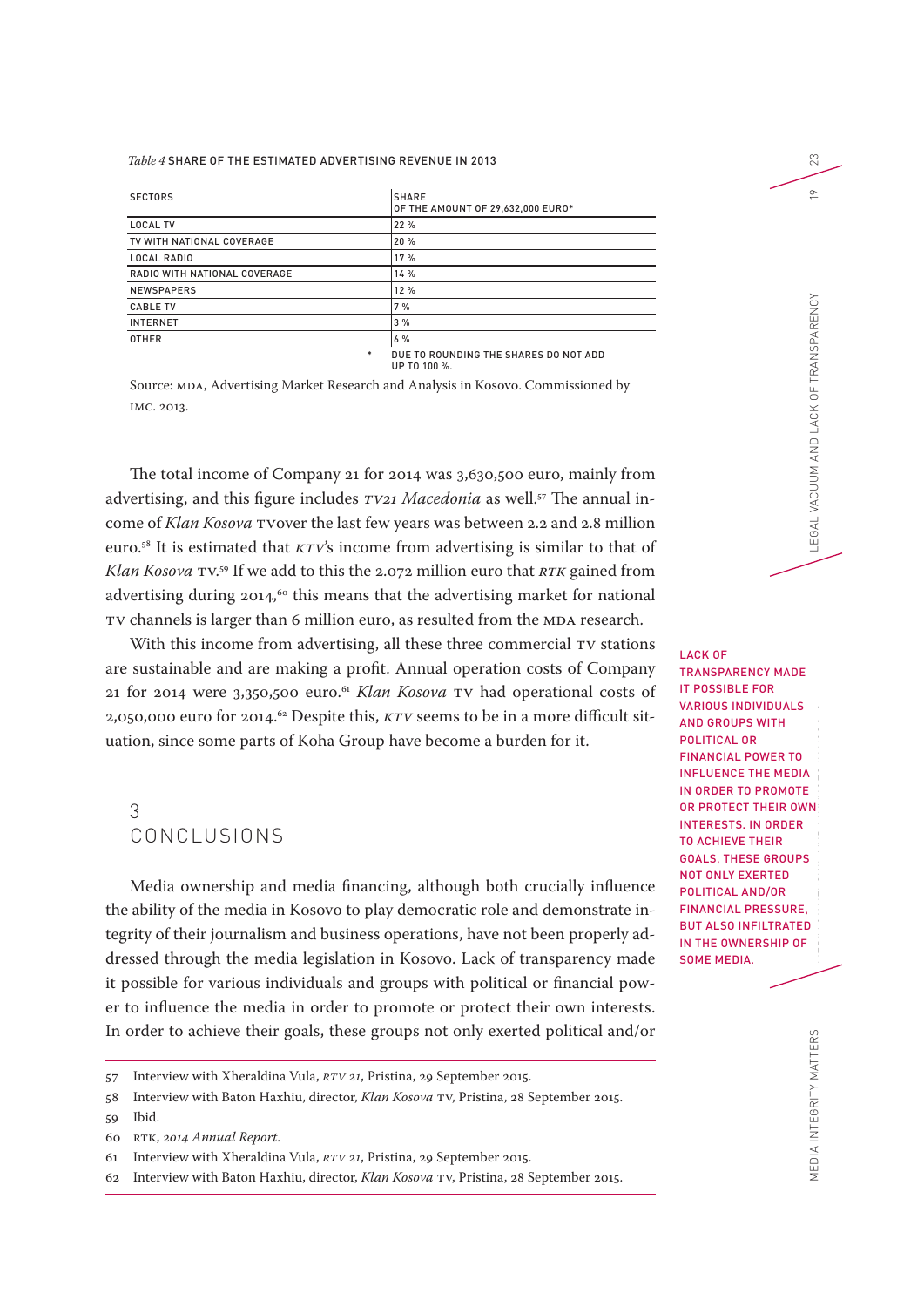#### *Table 4* SHARE OF THE ESTIMATED ADVERTISING REVENUE IN 2013

| <b>SECTORS</b>               | <b>SHARE</b><br>OF THE AMOUNT OF 29.632.000 EURO* |
|------------------------------|---------------------------------------------------|
| <b>LOCAL TV</b>              | 22%                                               |
| TV WITH NATIONAL COVERAGE    | 20 %                                              |
| <b>LOCAL RADIO</b>           | 17%                                               |
| RADIO WITH NATIONAL COVERAGE | 14 %                                              |
| <b>NEWSPAPERS</b>            | 12%                                               |
| <b>CABLE TV</b>              | 7%                                                |
| <b>INTERNET</b>              | 3%                                                |
| <b>OTHER</b>                 | 6%                                                |
| *                            | DUE TO ROUNDING THE SHARES DO NOT ADD             |

UP TO 100 %.

Source: MDA, Advertising Market Research and Analysis in Kosovo. Commissioned by IMC. 2013.

The total income of Company 21 for 2014 was 3,630,500 euro, mainly from advertising, and this figure includes *TV21 Macedonia* as well.57 The annual income of *Klan Kosova* TVover the last few years was between 2.2 and 2.8 million euro.58 It is estimated that *KTV*'s income from advertising is similar to that of *Klan Kosova* TV. 59 If we add to this the 2.072 million euro that *RTK* gained from advertising during  $2014$ ,<sup>60</sup> this means that the advertising market for national TV channels is larger than 6 million euro, as resulted from the MDA research.

With this income from advertising, all these three commercial TV stations are sustainable and are making a profit. Annual operation costs of Company 21 for 2014 were 3,350,500 euro.61 *Klan Kosova* TV had operational costs of 2,050,000 euro for 2014.<sup>62</sup> Despite this, *KTV* seems to be in a more difficult situation, since some parts of Koha Group have become a burden for it.

# 3 CONCLUSIONS

Media ownership and media financing, although both crucially influence the ability of the media in Kosovo to play democratic role and demonstrate integrity of their journalism and business operations, have not been properly addressed through the media legislation in Kosovo. Lack of transparency made it possible for various individuals and groups with political or financial power to influence the media in order to promote or protect their own interests. In order to achieve their goals, these groups not only exerted political and/or

MEDIA INTEGRITY MATTERS MEDIA OWNERSHIP AND FINANCES IN KOSOVO LEGAL VACUUM AND LACK OF TRANSPARENCY 19 LACK OF TRANSPARENCY MADE IT POSSIBLE FOR VARIOUS INDIVIDUALS AND GROUPS WITH POLITICAL OR FINANCIAL POWER TO INFLUENCE THE MEDIA IN ORDER TO PROMOTE OR PROTECT THEIR OWN INTERESTS. IN ORDER TO ACHIEVE THEIR GOALS, THESE GROUPS NOT ONLY EXERTED POLITICAL AND/OR FINANCIAL PRESSURE, BUT ALSO INFILTRATED IN THE OWNERSHIP OF SOME MEDIA.

23

 $\subseteq$ 

LEGAL VACUUM AND LACK OF TRANSPARENCY

<sup>57</sup> Interview with Xheraldina Vula, *RTV 21*, Pristina, 29 September 2015.

<sup>58</sup> Interview with Baton Haxhiu, director, *Klan Kosova* TV, Pristina, 28 September 2015.

<sup>59</sup> Ibid.

<sup>60</sup> RTK, *2014 Annual Report*.

<sup>61</sup> Interview with Xheraldina Vula, *RTV 21*, Pristina, 29 September 2015.

<sup>62</sup> Interview with Baton Haxhiu, director, *Klan Kosova* TV, Pristina, 28 September 2015.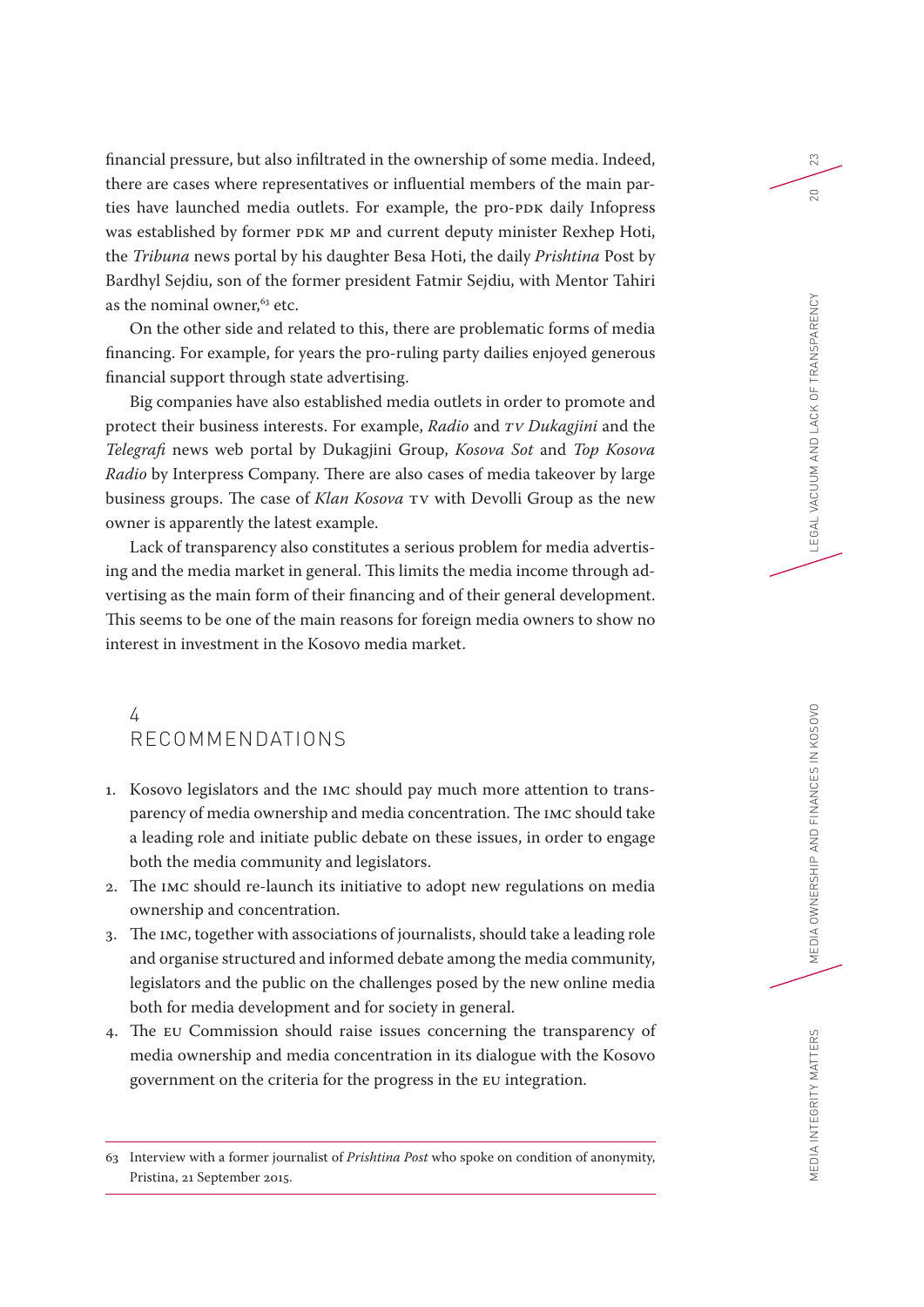financial pressure, but also infiltrated in the ownership of some media. Indeed, there are cases where representatives or influential members of the main parties have launched media outlets. For example, the pro-PDK daily Infopress was established by former PDK MP and current deputy minister Rexhep Hoti, the *Tribuna* news portal by his daughter Besa Hoti, the daily *Prishtina* Post by Bardhyl Sejdiu, son of the former president Fatmir Sejdiu, with Mentor Tahiri as the nominal owner,<sup>63</sup> etc.

On the other side and related to this, there are problematic forms of media financing. For example, for years the pro-ruling party dailies enjoyed generous financial support through state advertising.

Big companies have also established media outlets in order to promote and protect their business interests. For example, *Radio* and *TV Dukagjini* and the *Telegrafi* news web portal by Dukagjini Group, *Kosova Sot* and *Top Kosova Radio* by Interpress Company. There are also cases of media takeover by large business groups. The case of *Klan Kosova* TV with Devolli Group as the new owner is apparently the latest example.

Lack of transparency also constitutes a serious problem for media advertising and the media market in general. This limits the media income through advertising as the main form of their financing and of their general development. This seems to be one of the main reasons for foreign media owners to show no interest in investment in the Kosovo media market.

# 4 RECOMMENDATIONS

- 1. Kosovo legislators and the IMC should pay much more attention to transparency of media ownership and media concentration. The IMC should take a leading role and initiate public debate on these issues, in order to engage both the media community and legislators.
- 2. The IMC should re-launch its initiative to adopt new regulations on media ownership and concentration.
- 3. The IMC, together with associations of journalists, should take a leading role and organise structured and informed debate among the media community, legislators and the public on the challenges posed by the new online media both for media development and for society in general.
- 4. The EU Commission should raise issues concerning the transparency of media ownership and media concentration in its dialogue with the Kosovo government on the criteria for the progress in the EU integration.

23

<sup>63</sup> Interview with a former journalist of *Prishtina Post* who spoke on condition of anonymity, Pristina, 21 September 2015.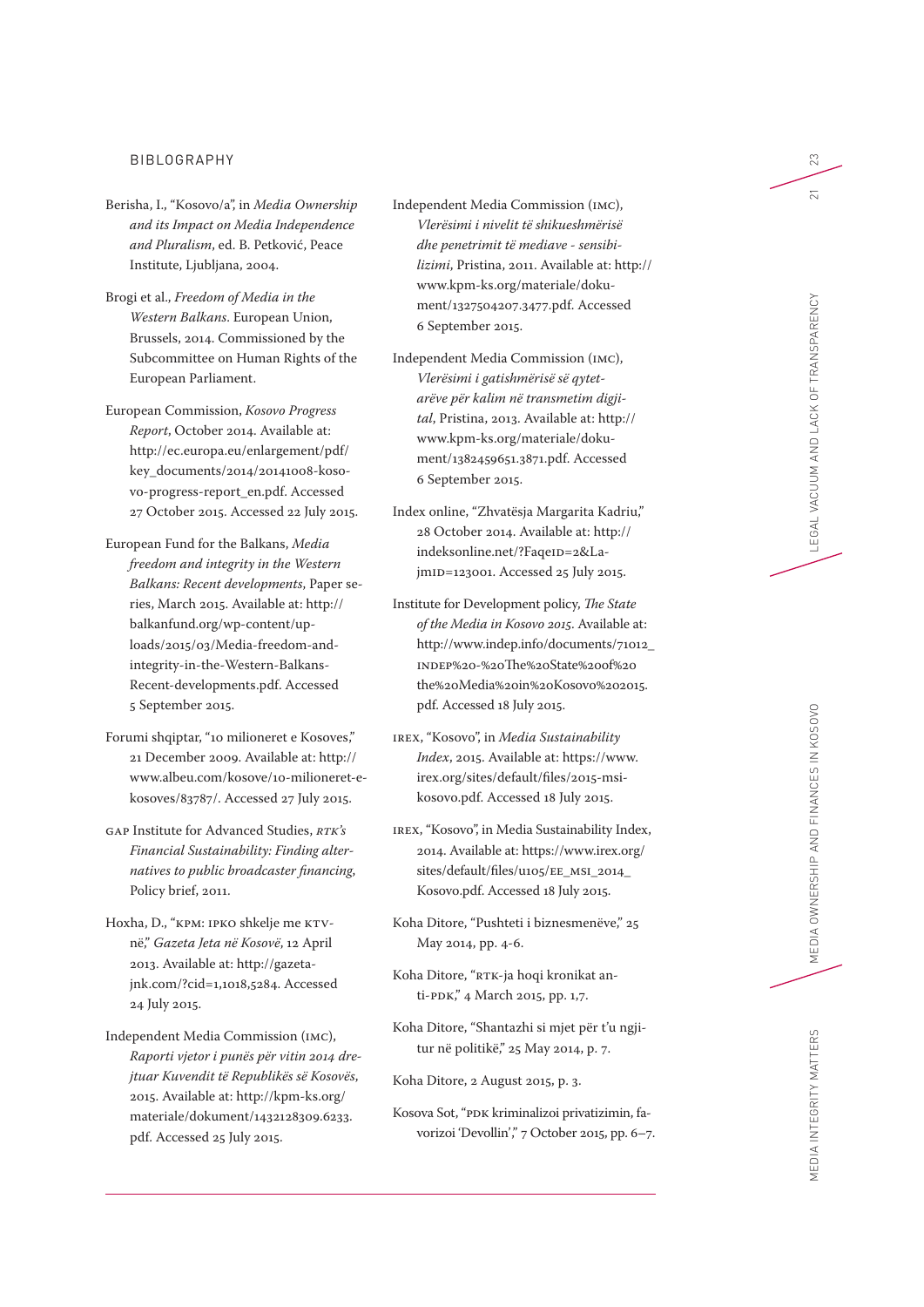#### BIBLOGRAPHY

- Berisha, I., "Kosovo/a", in *Media Ownership and its Impact on Media Independence and Pluralism*, ed. B. Petković, Peace Institute, Ljubljana, 2004.
- Brogi et al., *Freedom of Media in the Western Balkans*. European Union, Brussels, 2014. Commissioned by the Subcommittee on Human Rights of the European Parliament.
- European Commission, *Kosovo Progress Report*, October 2014. Available at: http://ec.europa.eu/enlargement/pdf/ key\_documents/2014/20141008-kosovo-progress-report\_en.pdf. Accessed 27 October 2015. Accessed 22 July 2015.
- European Fund for the Balkans, *Media freedom and integrity in the Western Balkans: Recent developments*, Paper series, March 2015. Available at: http:// balkanfund.org/wp-content/uploads/2015/03/Media-freedom-andintegrity-in-the-Western-Balkans-Recent-developments.pdf. Accessed 5 September 2015.
- Forumi shqiptar, "10 milioneret e Kosoves," 21 December 2009. Available at: http:// www.albeu.com/kosove/10-milioneret-ekosoves/83787/. Accessed 27 July 2015.
- GAP Institute for Advanced Studies, *RTK's Financial Sustainability: Finding alternatives to public broadcaster financing*, Policy brief, 2011.
- Hoxha, D., "KPM: IPKO shkelje me KTVnë," *Gazeta Jeta në Kosovë*, 12 April 2013. Available at: http://gazetajnk.com/?cid=1,1018,5284. Accessed 24 July 2015.
- Independent Media Commission (IMC), *Raporti vjetor i punës për vitin 2014 drejtuar Kuvendit të Republikës së Kosovës*, 2015. Available at: http://kpm-ks.org/ materiale/dokument/1432128309.6233. pdf. Accessed 25 July 2015.

Independent Media Commission (IMC), *Vlerësimi i nivelit të shikueshmërisë dhe penetrimit të mediave - sensibilizimi*, Pristina, 2011. Available at: http:// www.kpm-ks.org/materiale/dokument/1327504207.3477.pdf. Accessed 6 September 2015.

- Independent Media Commission (IMC), *Vlerësimi i gatishmërisë së qytetarëve për kalim në transmetim digjital*, Pristina, 2013. Available at: http:// www.kpm-ks.org/materiale/dokument/1382459651.3871.pdf. Accessed 6 September 2015.
- Index online, "Zhvatësja Margarita Kadriu," 28 October 2014. Available at: http:// indeksonline.net/?FaqeID=2&LajmID=123001. Accessed 25 July 2015.
- Institute for Development policy, *The State of the Media in Kosovo 2015*. Available at: http://www.indep.info/documents/71012\_ INDEP%20-%20The%20State%20of%20 the%20Media%20in%20Kosovo%202015. pdf. Accessed 18 July 2015.
- IREX, "Kosovo", in *Media Sustainability Index*, 2015. Available at: https://www. irex.org/sites/default/files/2015-msikosovo.pdf. Accessed 18 July 2015.
- IREX, "Kosovo", in Media Sustainability Index, 2014. Available at: https://www.irex.org/ sites/default/files/u105/EE\_MSI\_2014\_ Kosovo.pdf. Accessed 18 July 2015.
- Koha Ditore, "Pushteti i biznesmenëve," 25 May 2014, pp. 4-6.
- Koha Ditore, "RTK-ja hoqi kronikat anti-PDK," 4 March 2015, pp. 1,7.
- Koha Ditore, "Shantazhi si mjet për t'u ngjitur në politikë," 25 May 2014, p. 7.

Koha Ditore, 2 August 2015, p. 3.

Kosova Sot, "PDK kriminalizoi privatizimin, favorizoi 'Devollin'," 7 October 2015, pp. 6–7. 23

 $\overline{21}$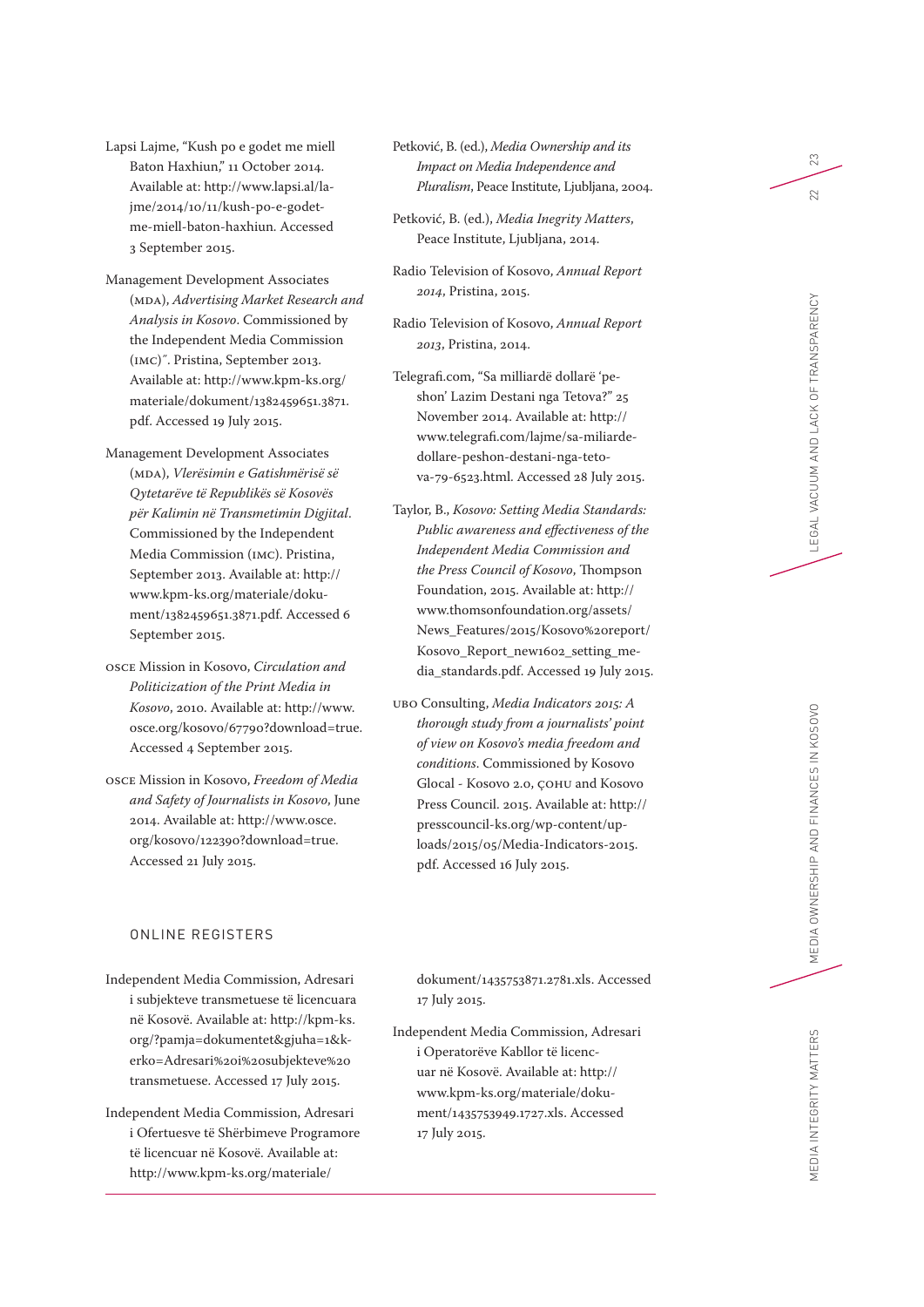Lapsi Lajme, "Kush po e godet me miell Baton Haxhiun," 11 October 2014. Available at: http://www.lapsi.al/la jme/2014/10/11/kush-po-e-godetme-miell-baton-haxhiun. Accessed 3 September 2015.

- Management Development Associates (MDA), *Advertising Market Research and Analysis in Kosovo*. Commissioned by the Independent Media Commission (IMC)˝. Pristina, September 2013. Available at: http://www.kpm-ks.org/ materiale/dokument/1382459651.3871. pdf. Accessed 19 July 2015.
- Management Development Associates (MDA), *Vlerësimin e Gatishmërisë së Qytetarëve të Republikës së Kosovës për Kalimin në Transmetimin Digjital*. Commissioned by the Independent Media Commission (IMC). Pristina, September 2013. Available at: http:// www.kpm-ks.org/materiale/doku ment/1382459651.3871.pdf. Accessed 6 September 2015.
- OSCE Mission in Kosovo, *Circulation and Politicization of the Print Media in Kosovo*, 2010. Available at: http://www. osce.org/kosovo/67790?download=true. Accessed 4 September 2015.
- OSCE Mission in Kosovo, *Freedom of Media and Safety of Journalists in Kosovo*, June 2014. Available at: http://www.osce. org/kosovo/122390?download=true. Accessed 21 July 2015.

## ONLINE REGISTERS

- Independent Media Commission, Adresari i subjekteve transmetuese të licencuara në Kosovë. Available at: http://kpm-ks. org/?pamja=dokumentet&gjuha=1&k erko=Adresari%20i%20subjekteve%20 transmetuese. Accessed 17 July 2015.
- Independent Media Commission, Adresari i Ofertuesve të Shërbimeve Programore të licencuar në Kosovë. Available at: http://www.kpm-ks.org/materiale/
- Petković, B. (ed.), *Media Ownership and its Impact on Media Independence and Pluralism*, Peace Institute, Ljubljana, 2004.
- Petković, B. (ed.), *Media Inegrity Matters*, Peace Institute, Ljubljana, 2014.
- Radio Television of Kosovo, *Annual Report 2014*, Pristina, 2015.
- Radio Television of Kosovo, *Annual Report 2013*, Pristina, 2014.
- Telegrafi.com, "Sa milliardë dollarë 'pe shon' Lazim Destani nga Tetova?" 25 November 2014. Available at: http:// www.telegrafi.com/lajme/sa-miliardedollare-peshon-destani-nga-tetova-79-6523.html. Accessed 28 July 2015.
- Taylor, B., *Kosovo: Setting Media Standards: Public awareness and effectiveness of the Independent Media Commission and the Press Council of Kosovo*, Thompson Foundation, 2015. Available at: http:// www.thomsonfoundation.org/assets/ News\_Features/2015/Kosovo%20report/ Kosovo\_Report\_new1602\_setting\_me dia\_standards.pdf. Accessed 19 July 2015.
- UBO Consulting, *Media Indicators 2015: A thorough study from a journalists' point of view on Kosovo's media freedom and conditions*. Commissioned by Kosovo Glocal - Kosovo 2.0, ÇOHU and Kosovo Press Council. 2015. Available at: http:// presscouncil-ks.org/wp-content/up loads/2015/05/Media-Indicators-2015. pdf. Accessed 16 July 2015.

23

22

MEDIA INTEGRITY MATTERS

dokument/1435753871.2781.xls. Accessed 17 July 2015.

Independent Media Commission, Adresari i Operatorëve Kabllor të licenc uar në Kosovë. Available at: http:// www.kpm-ks.org/materiale/doku ment/1435753949.1727.xls. Accessed 17 July 2015.